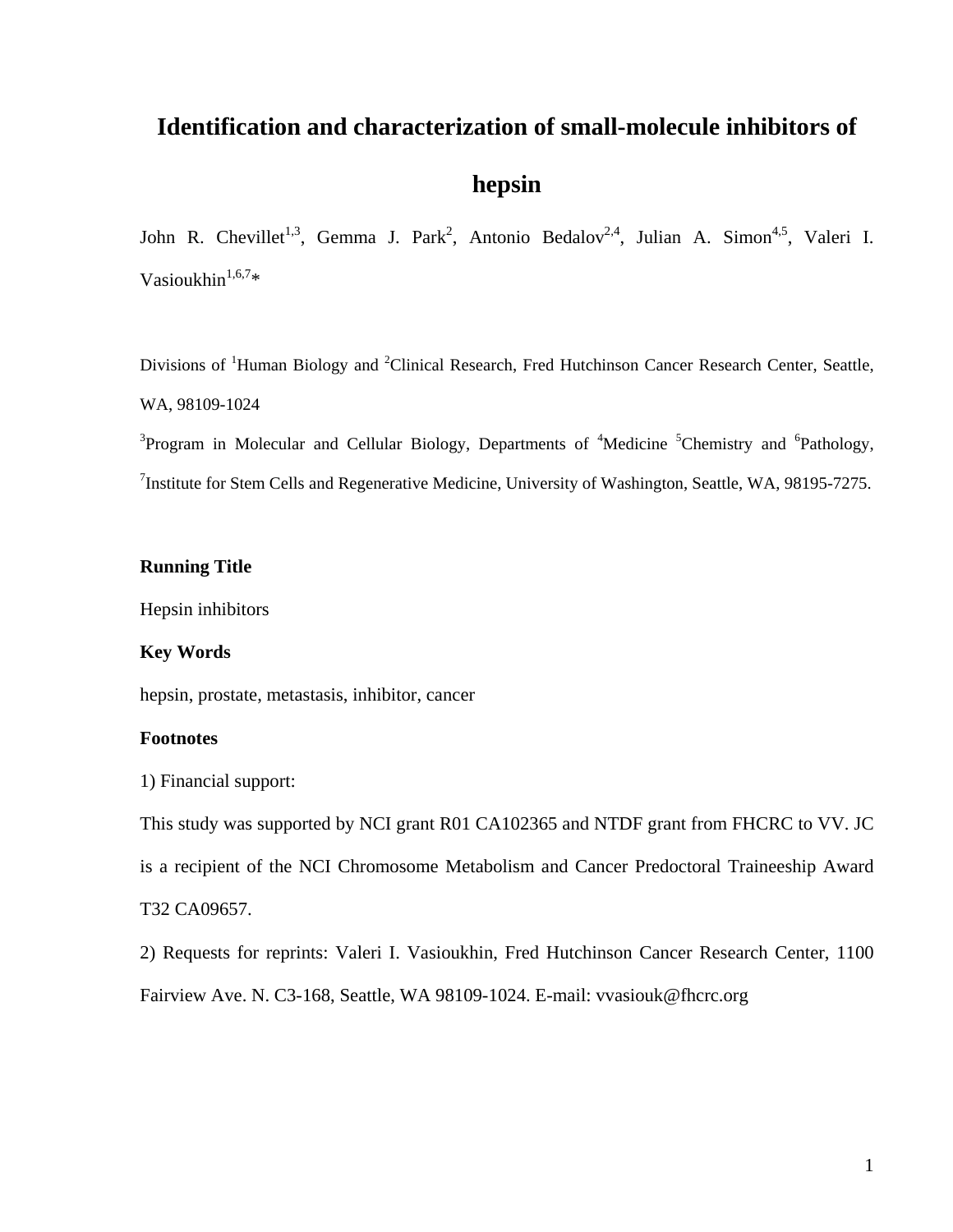# **Identification and characterization of small-molecule inhibitors of**

# **hepsin**

John R. Chevillet<sup>1,3</sup>, Gemma J. Park<sup>2</sup>, Antonio Bedalov<sup>2,4</sup>, Julian A. Simon<sup>4,5</sup>, Valeri I. Vasioukhin $1,6,7*$ 

Divisions of <sup>1</sup>Human Biology and <sup>2</sup>Clinical Research, Fred Hutchinson Cancer Research Center, Seattle, WA, 98109-1024

<sup>3</sup>Program in Molecular and Cellular Biology, Departments of <sup>4</sup>Medicine <sup>5</sup>Chemistry and <sup>6</sup>Pathology, <sup>7</sup>Institute for Stem Cells and Regenerative Medicine, University of Washington, Seattle, WA, 98195-7275.

# **Running Title**

Hepsin inhibitors

# **Key Words**

hepsin, prostate, metastasis, inhibitor, cancer

# **Footnotes**

1) Financial support:

This study was supported by NCI grant R01 CA102365 and NTDF grant from FHCRC to VV. JC

is a recipient of the NCI Chromosome Metabolism and Cancer Predoctoral Traineeship Award

# T32 CA09657.

2) Requests for reprints: Valeri I. Vasioukhin, Fred Hutchinson Cancer Research Center, 1100 Fairview Ave. N. C3-168, Seattle, WA 98109-1024. E-mail: vvasiouk@fhcrc.org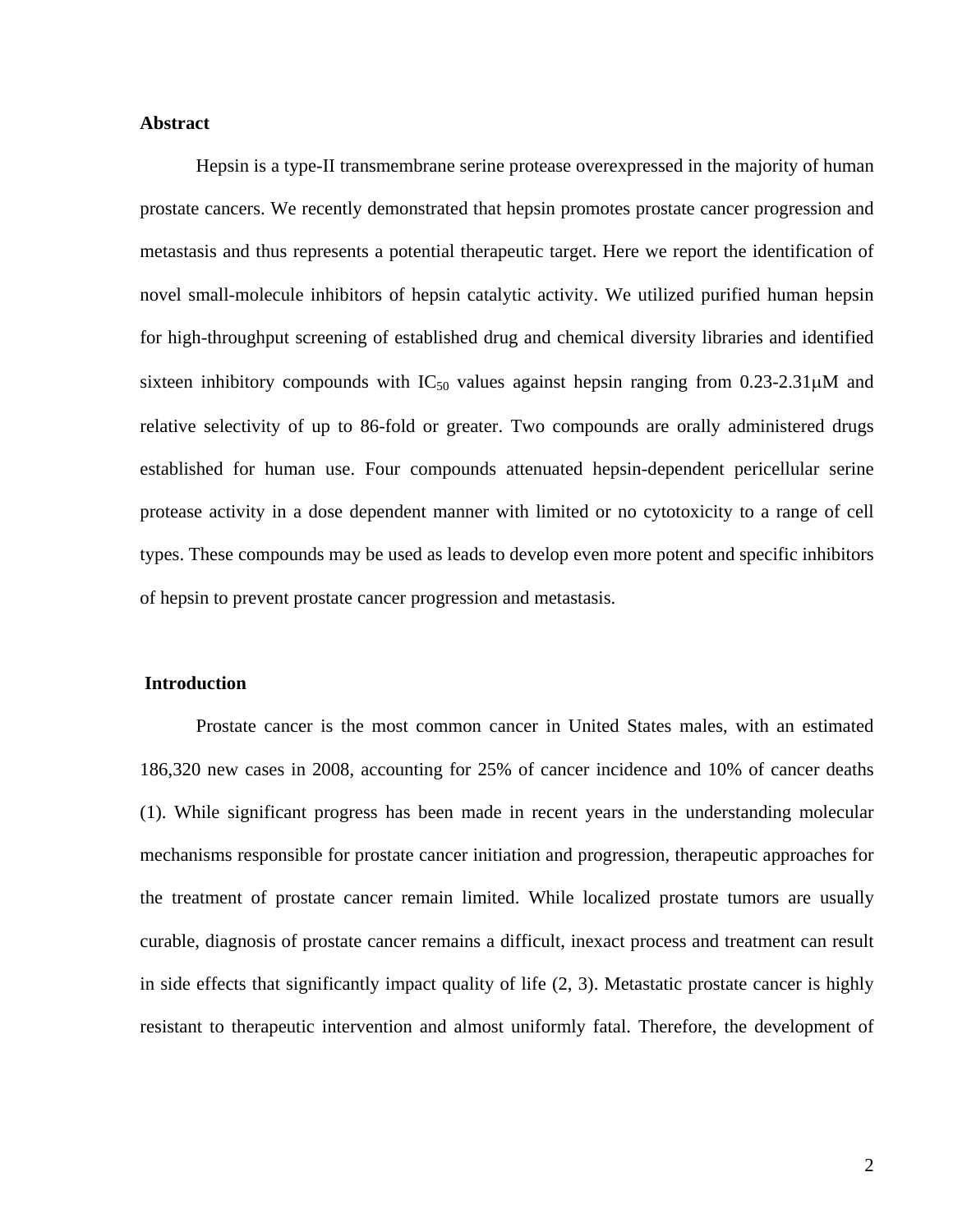# **Abstract**

Hepsin is a type-II transmembrane serine protease overexpressed in the majority of human prostate cancers. We recently demonstrated that hepsin promotes prostate cancer progression and metastasis and thus represents a potential therapeutic target. Here we report the identification of novel small-molecule inhibitors of hepsin catalytic activity. We utilized purified human hepsin for high-throughput screening of established drug and chemical diversity libraries and identified sixteen inhibitory compounds with  $IC_{50}$  values against hepsin ranging from 0.23-2.31 $\mu$ M and relative selectivity of up to 86-fold or greater. Two compounds are orally administered drugs established for human use. Four compounds attenuated hepsin-dependent pericellular serine protease activity in a dose dependent manner with limited or no cytotoxicity to a range of cell types. These compounds may be used as leads to develop even more potent and specific inhibitors of hepsin to prevent prostate cancer progression and metastasis.

#### **Introduction**

Prostate cancer is the most common cancer in United States males, with an estimated 186,320 new cases in 2008, accounting for 25% of cancer incidence and 10% of cancer deaths (1). While significant progress has been made in recent years in the understanding molecular mechanisms responsible for prostate cancer initiation and progression, therapeutic approaches for the treatment of prostate cancer remain limited. While localized prostate tumors are usually curable, diagnosis of prostate cancer remains a difficult, inexact process and treatment can result in side effects that significantly impact quality of life (2, 3). Metastatic prostate cancer is highly resistant to therapeutic intervention and almost uniformly fatal. Therefore, the development of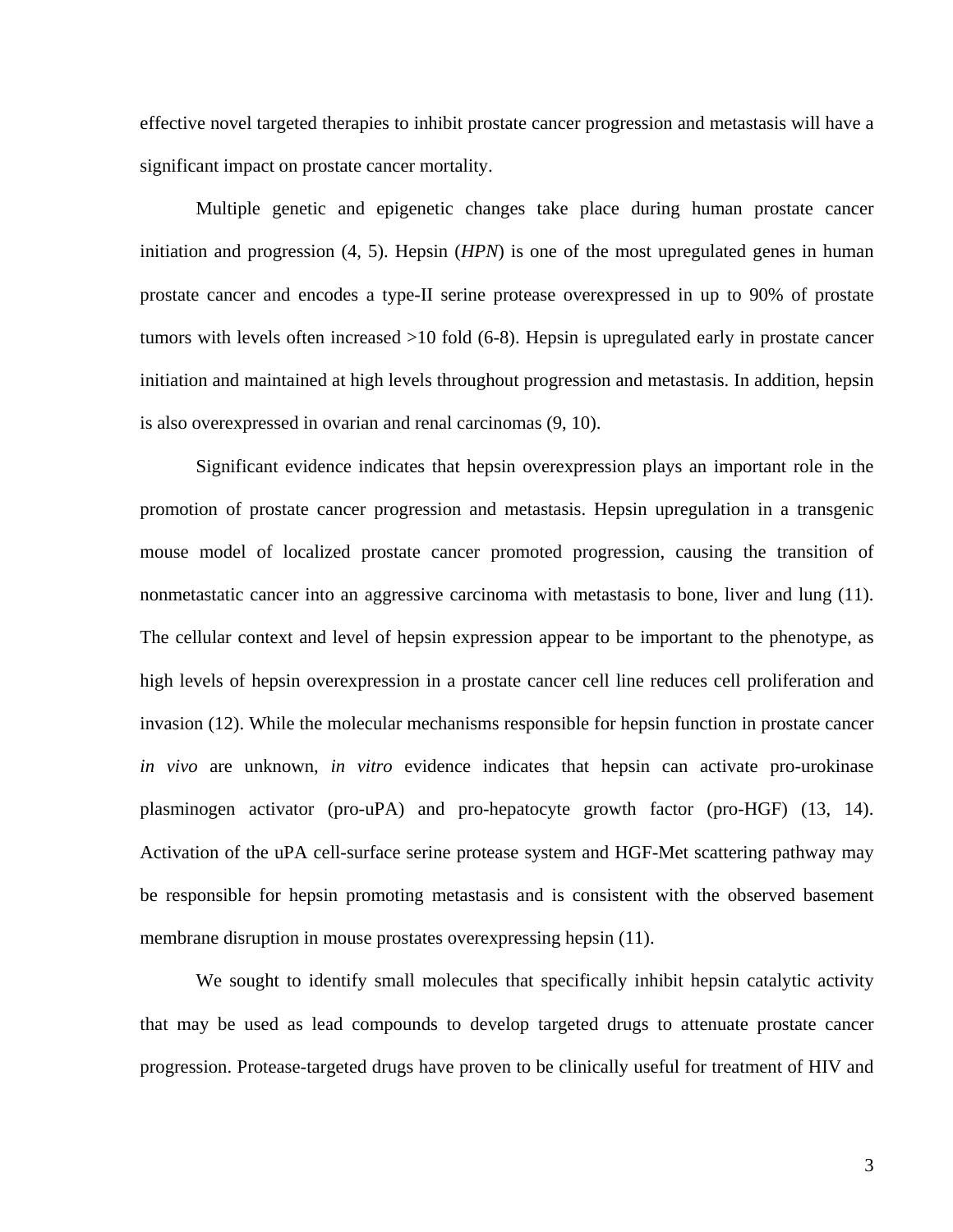effective novel targeted therapies to inhibit prostate cancer progression and metastasis will have a significant impact on prostate cancer mortality.

Multiple genetic and epigenetic changes take place during human prostate cancer initiation and progression (4, 5). Hepsin (*HPN*) is one of the most upregulated genes in human prostate cancer and encodes a type-II serine protease overexpressed in up to 90% of prostate tumors with levels often increased >10 fold (6-8). Hepsin is upregulated early in prostate cancer initiation and maintained at high levels throughout progression and metastasis. In addition, hepsin is also overexpressed in ovarian and renal carcinomas (9, 10).

Significant evidence indicates that hepsin overexpression plays an important role in the promotion of prostate cancer progression and metastasis. Hepsin upregulation in a transgenic mouse model of localized prostate cancer promoted progression, causing the transition of nonmetastatic cancer into an aggressive carcinoma with metastasis to bone, liver and lung (11). The cellular context and level of hepsin expression appear to be important to the phenotype, as high levels of hepsin overexpression in a prostate cancer cell line reduces cell proliferation and invasion (12). While the molecular mechanisms responsible for hepsin function in prostate cancer *in vivo* are unknown, *in vitro* evidence indicates that hepsin can activate pro-urokinase plasminogen activator (pro-uPA) and pro-hepatocyte growth factor (pro-HGF) (13, 14). Activation of the uPA cell-surface serine protease system and HGF-Met scattering pathway may be responsible for hepsin promoting metastasis and is consistent with the observed basement membrane disruption in mouse prostates overexpressing hepsin (11).

We sought to identify small molecules that specifically inhibit hepsin catalytic activity that may be used as lead compounds to develop targeted drugs to attenuate prostate cancer progression. Protease-targeted drugs have proven to be clinically useful for treatment of HIV and

3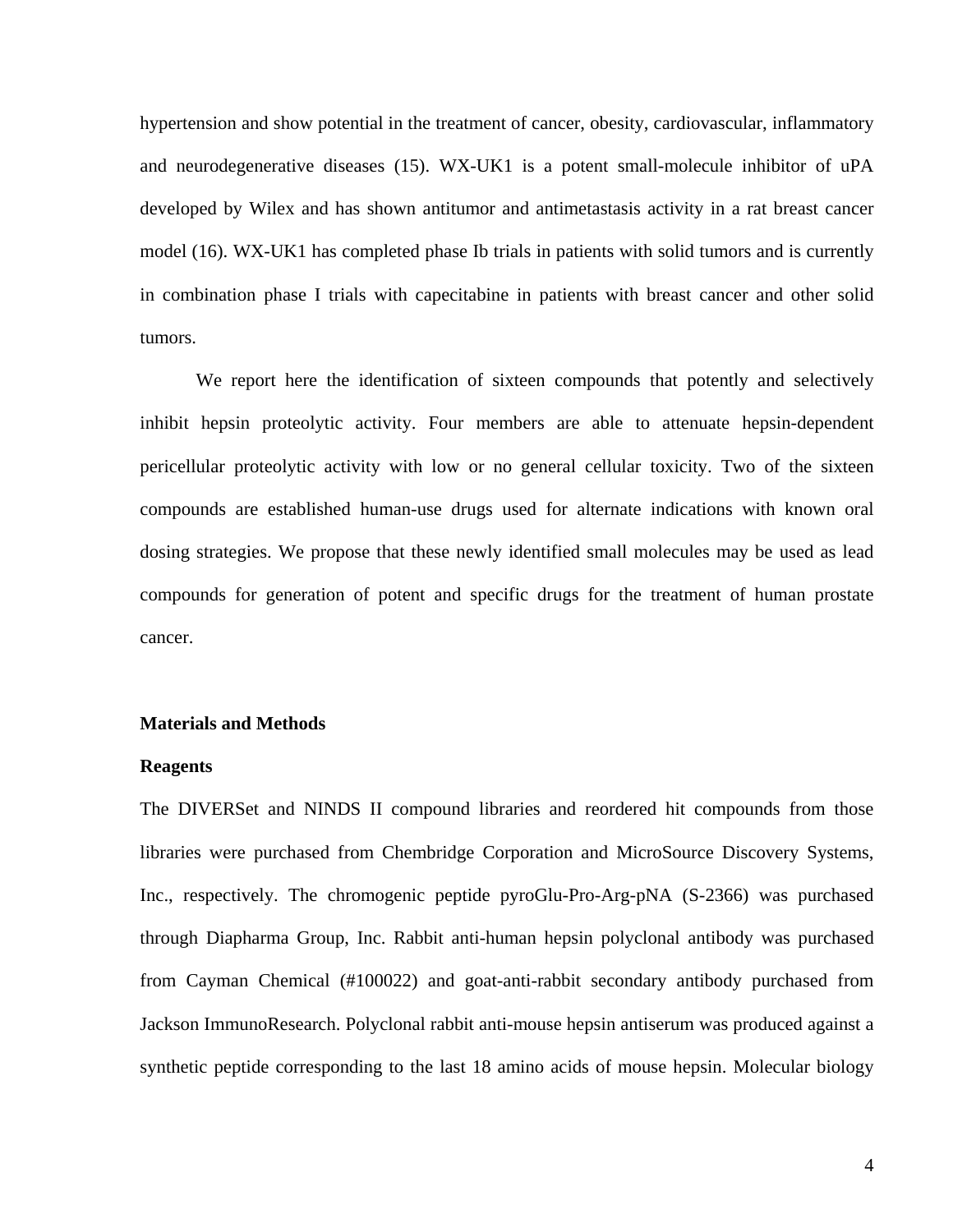hypertension and show potential in the treatment of cancer, obesity, cardiovascular, inflammatory and neurodegenerative diseases (15). WX-UK1 is a potent small-molecule inhibitor of uPA developed by Wilex and has shown antitumor and antimetastasis activity in a rat breast cancer model (16). WX-UK1 has completed phase Ib trials in patients with solid tumors and is currently in combination phase I trials with capecitabine in patients with breast cancer and other solid tumors.

We report here the identification of sixteen compounds that potently and selectively inhibit hepsin proteolytic activity. Four members are able to attenuate hepsin-dependent pericellular proteolytic activity with low or no general cellular toxicity. Two of the sixteen compounds are established human-use drugs used for alternate indications with known oral dosing strategies. We propose that these newly identified small molecules may be used as lead compounds for generation of potent and specific drugs for the treatment of human prostate cancer.

#### **Materials and Methods**

# **Reagents**

The DIVERSet and NINDS II compound libraries and reordered hit compounds from those libraries were purchased from Chembridge Corporation and MicroSource Discovery Systems, Inc., respectively. The chromogenic peptide pyroGlu-Pro-Arg-pNA (S-2366) was purchased through Diapharma Group, Inc. Rabbit anti-human hepsin polyclonal antibody was purchased from Cayman Chemical (#100022) and goat-anti-rabbit secondary antibody purchased from Jackson ImmunoResearch. Polyclonal rabbit anti-mouse hepsin antiserum was produced against a synthetic peptide corresponding to the last 18 amino acids of mouse hepsin. Molecular biology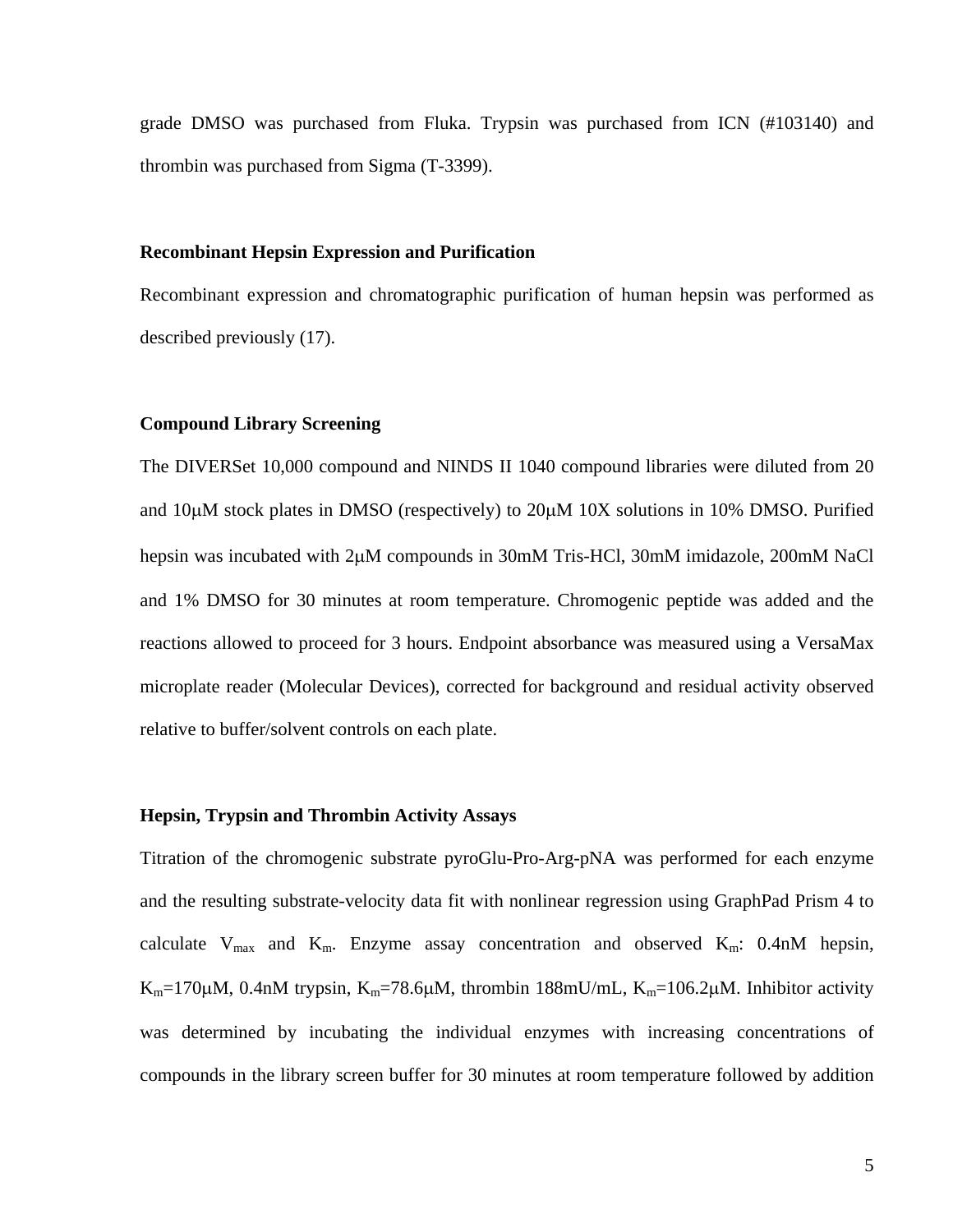grade DMSO was purchased from Fluka. Trypsin was purchased from ICN (#103140) and thrombin was purchased from Sigma (T-3399).

# **Recombinant Hepsin Expression and Purification**

Recombinant expression and chromatographic purification of human hepsin was performed as described previously (17).

# **Compound Library Screening**

The DIVERSet 10,000 compound and NINDS II 1040 compound libraries were diluted from 20 and 10μM stock plates in DMSO (respectively) to 20μM 10X solutions in 10% DMSO. Purified hepsin was incubated with 2μM compounds in 30mM Tris-HCl, 30mM imidazole, 200mM NaCl and 1% DMSO for 30 minutes at room temperature. Chromogenic peptide was added and the reactions allowed to proceed for 3 hours. Endpoint absorbance was measured using a VersaMax microplate reader (Molecular Devices), corrected for background and residual activity observed relative to buffer/solvent controls on each plate.

# **Hepsin, Trypsin and Thrombin Activity Assays**

Titration of the chromogenic substrate pyroGlu-Pro-Arg-pNA was performed for each enzyme and the resulting substrate-velocity data fit with nonlinear regression using GraphPad Prism 4 to calculate  $V_{\text{max}}$  and  $K_{\text{m}}$ . Enzyme assay concentration and observed  $K_{\text{m}}$ : 0.4nM hepsin, K<sub>m</sub>=170 $\mu$ M, 0.4nM trypsin, K<sub>m</sub>=78.6 $\mu$ M, thrombin 188mU/mL, K<sub>m</sub>=106.2 $\mu$ M. Inhibitor activity was determined by incubating the individual enzymes with increasing concentrations of compounds in the library screen buffer for 30 minutes at room temperature followed by addition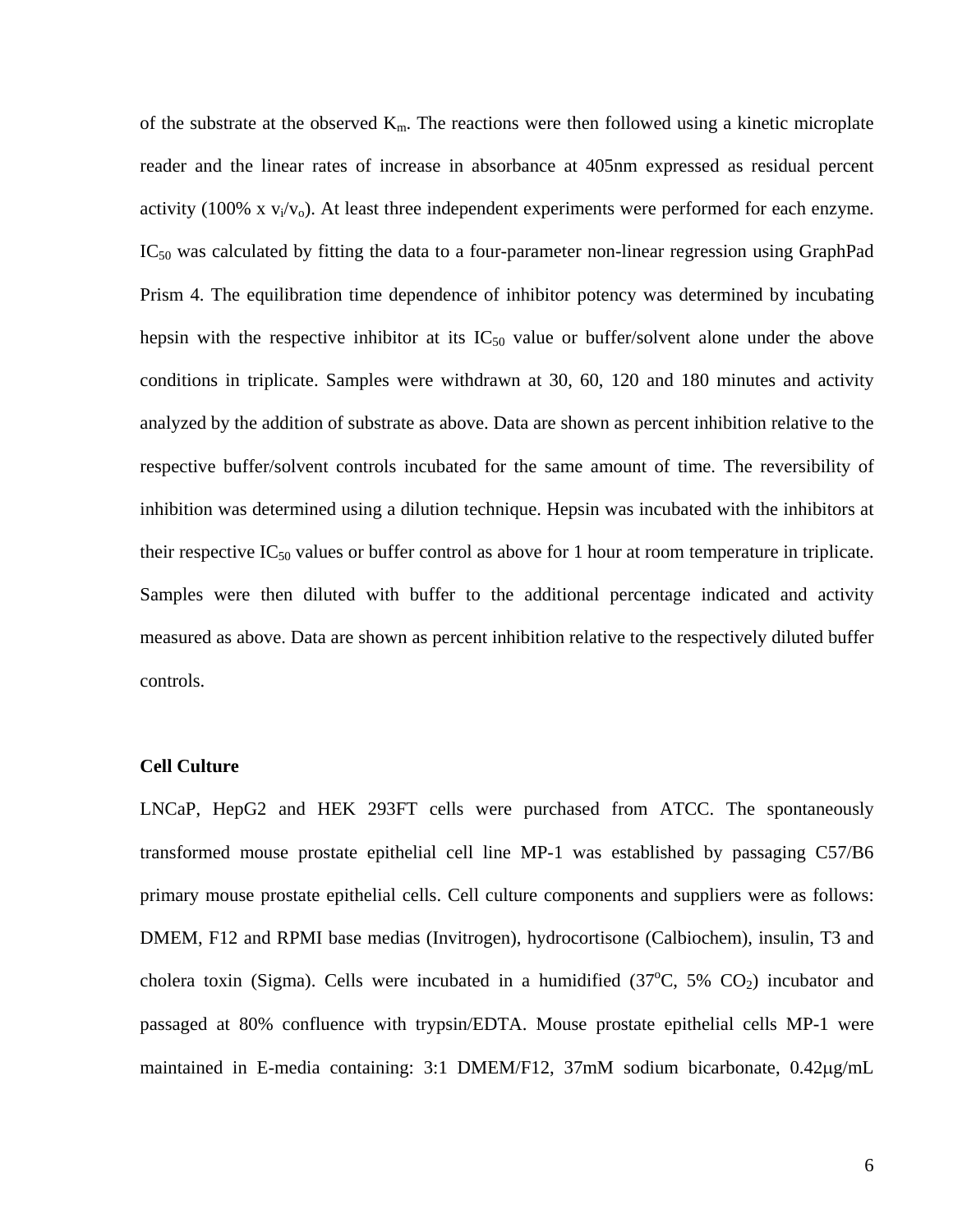of the substrate at the observed  $K_m$ . The reactions were then followed using a kinetic microplate reader and the linear rates of increase in absorbance at 405nm expressed as residual percent activity (100% x  $v_i/v_o$ ). At least three independent experiments were performed for each enzyme.  $IC_{50}$  was calculated by fitting the data to a four-parameter non-linear regression using GraphPad Prism 4. The equilibration time dependence of inhibitor potency was determined by incubating hepsin with the respective inhibitor at its  $IC_{50}$  value or buffer/solvent alone under the above conditions in triplicate. Samples were withdrawn at 30, 60, 120 and 180 minutes and activity analyzed by the addition of substrate as above. Data are shown as percent inhibition relative to the respective buffer/solvent controls incubated for the same amount of time. The reversibility of inhibition was determined using a dilution technique. Hepsin was incubated with the inhibitors at their respective  $IC_{50}$  values or buffer control as above for 1 hour at room temperature in triplicate. Samples were then diluted with buffer to the additional percentage indicated and activity measured as above. Data are shown as percent inhibition relative to the respectively diluted buffer controls.

# **Cell Culture**

LNCaP, HepG2 and HEK 293FT cells were purchased from ATCC. The spontaneously transformed mouse prostate epithelial cell line MP-1 was established by passaging C57/B6 primary mouse prostate epithelial cells. Cell culture components and suppliers were as follows: DMEM, F12 and RPMI base medias (Invitrogen), hydrocortisone (Calbiochem), insulin, T3 and cholera toxin (Sigma). Cells were incubated in a humidified  $(37^{\circ}C, 5\%$  CO<sub>2</sub>) incubator and passaged at 80% confluence with trypsin/EDTA. Mouse prostate epithelial cells MP-1 were maintained in E-media containing: 3:1 DMEM/F12, 37mM sodium bicarbonate, 0.42μg/mL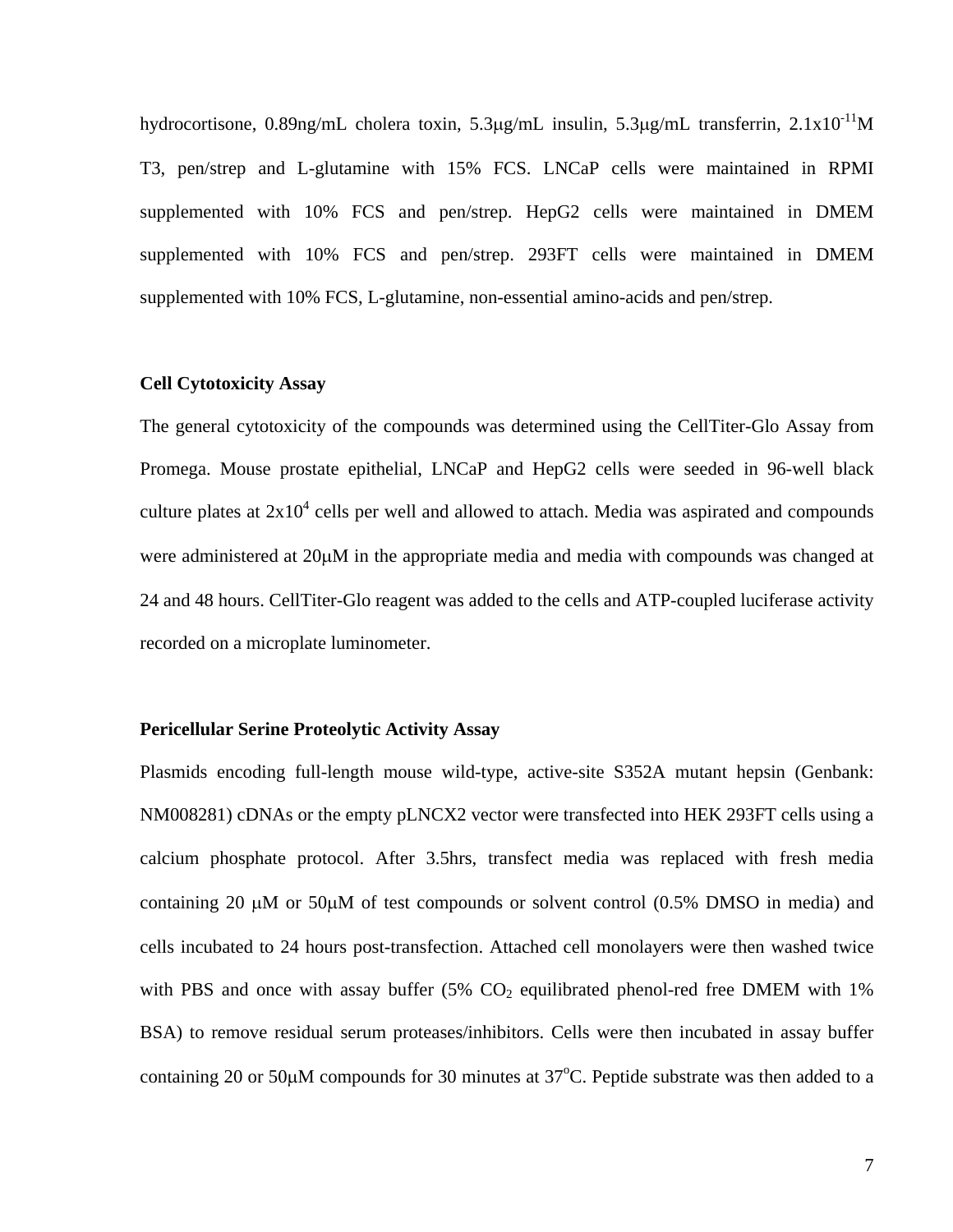hydrocortisone, 0.89ng/mL cholera toxin, 5.3μg/mL insulin, 5.3μg/mL transferrin, 2.1x10-11M T3, pen/strep and L-glutamine with 15% FCS. LNCaP cells were maintained in RPMI supplemented with 10% FCS and pen/strep. HepG2 cells were maintained in DMEM supplemented with 10% FCS and pen/strep. 293FT cells were maintained in DMEM supplemented with 10% FCS, L-glutamine, non-essential amino-acids and pen/strep.

# **Cell Cytotoxicity Assay**

The general cytotoxicity of the compounds was determined using the CellTiter-Glo Assay from Promega. Mouse prostate epithelial, LNCaP and HepG2 cells were seeded in 96-well black culture plates at  $2x10^4$  cells per well and allowed to attach. Media was aspirated and compounds were administered at 20μM in the appropriate media and media with compounds was changed at 24 and 48 hours. CellTiter-Glo reagent was added to the cells and ATP-coupled luciferase activity recorded on a microplate luminometer.

#### **Pericellular Serine Proteolytic Activity Assay**

Plasmids encoding full-length mouse wild-type, active-site S352A mutant hepsin (Genbank: NM008281) cDNAs or the empty pLNCX2 vector were transfected into HEK 293FT cells using a calcium phosphate protocol. After 3.5hrs, transfect media was replaced with fresh media containing 20  $\mu$ M or 50 $\mu$ M of test compounds or solvent control (0.5% DMSO in media) and cells incubated to 24 hours post-transfection. Attached cell monolayers were then washed twice with PBS and once with assay buffer  $(5\%$  CO<sub>2</sub> equilibrated phenol-red free DMEM with 1% BSA) to remove residual serum proteases/inhibitors. Cells were then incubated in assay buffer containing 20 or 50 $\mu$ M compounds for 30 minutes at 37 $^{\circ}$ C. Peptide substrate was then added to a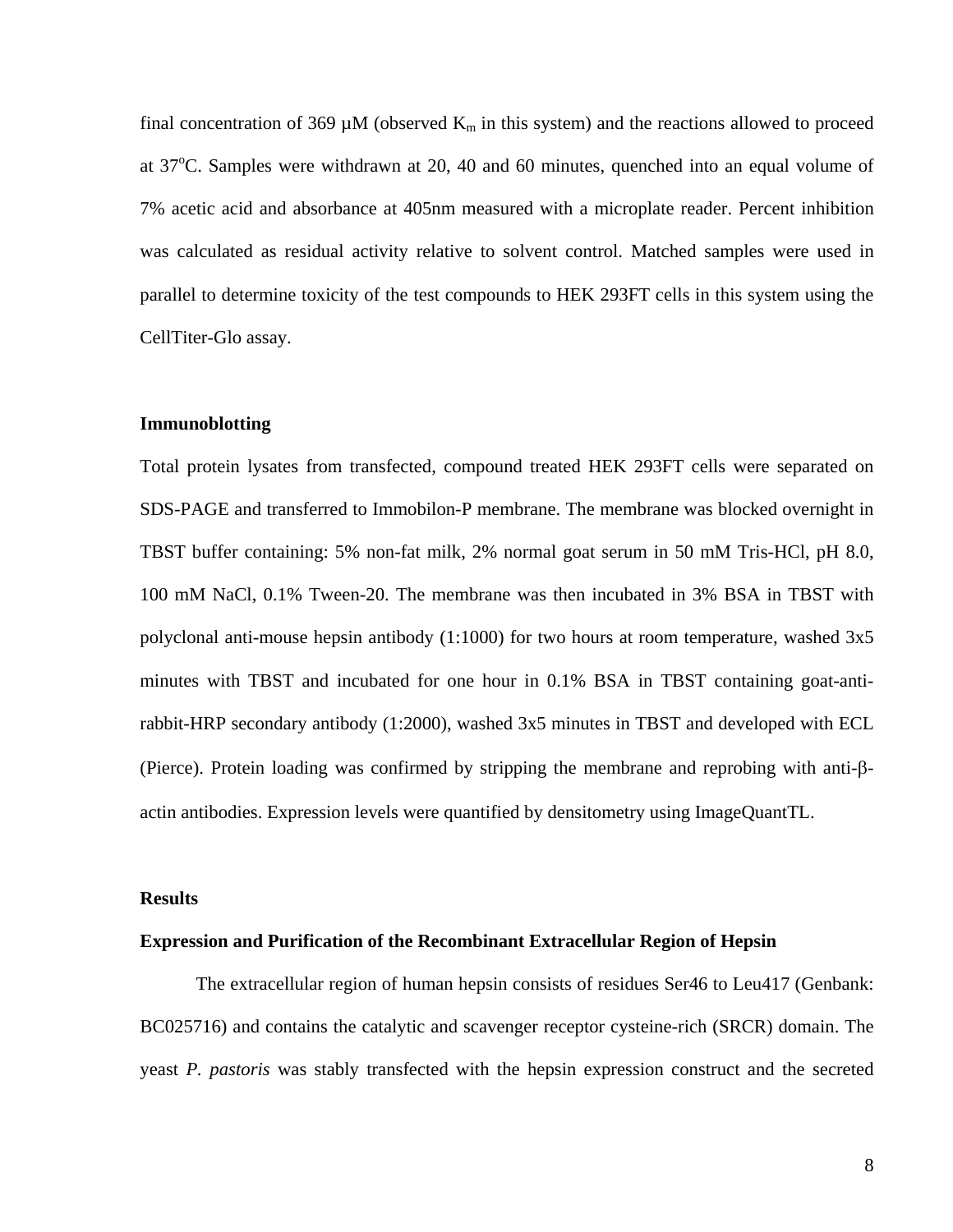final concentration of 369  $\mu$ M (observed K<sub>m</sub> in this system) and the reactions allowed to proceed at  $37^{\circ}$ C. Samples were withdrawn at 20, 40 and 60 minutes, quenched into an equal volume of 7% acetic acid and absorbance at 405nm measured with a microplate reader. Percent inhibition was calculated as residual activity relative to solvent control. Matched samples were used in parallel to determine toxicity of the test compounds to HEK 293FT cells in this system using the CellTiter-Glo assay.

# **Immunoblotting**

Total protein lysates from transfected, compound treated HEK 293FT cells were separated on SDS-PAGE and transferred to Immobilon-P membrane. The membrane was blocked overnight in TBST buffer containing: 5% non-fat milk, 2% normal goat serum in 50 mM Tris-HCl, pH 8.0, 100 mM NaCl, 0.1% Tween-20. The membrane was then incubated in 3% BSA in TBST with polyclonal anti-mouse hepsin antibody (1:1000) for two hours at room temperature, washed 3x5 minutes with TBST and incubated for one hour in 0.1% BSA in TBST containing goat-antirabbit-HRP secondary antibody (1:2000), washed 3x5 minutes in TBST and developed with ECL (Pierce). Protein loading was confirmed by stripping the membrane and reprobing with anti-βactin antibodies. Expression levels were quantified by densitometry using ImageQuantTL.

# **Results**

#### **Expression and Purification of the Recombinant Extracellular Region of Hepsin**

The extracellular region of human hepsin consists of residues Ser46 to Leu417 (Genbank: BC025716) and contains the catalytic and scavenger receptor cysteine-rich (SRCR) domain. The yeast *P. pastoris* was stably transfected with the hepsin expression construct and the secreted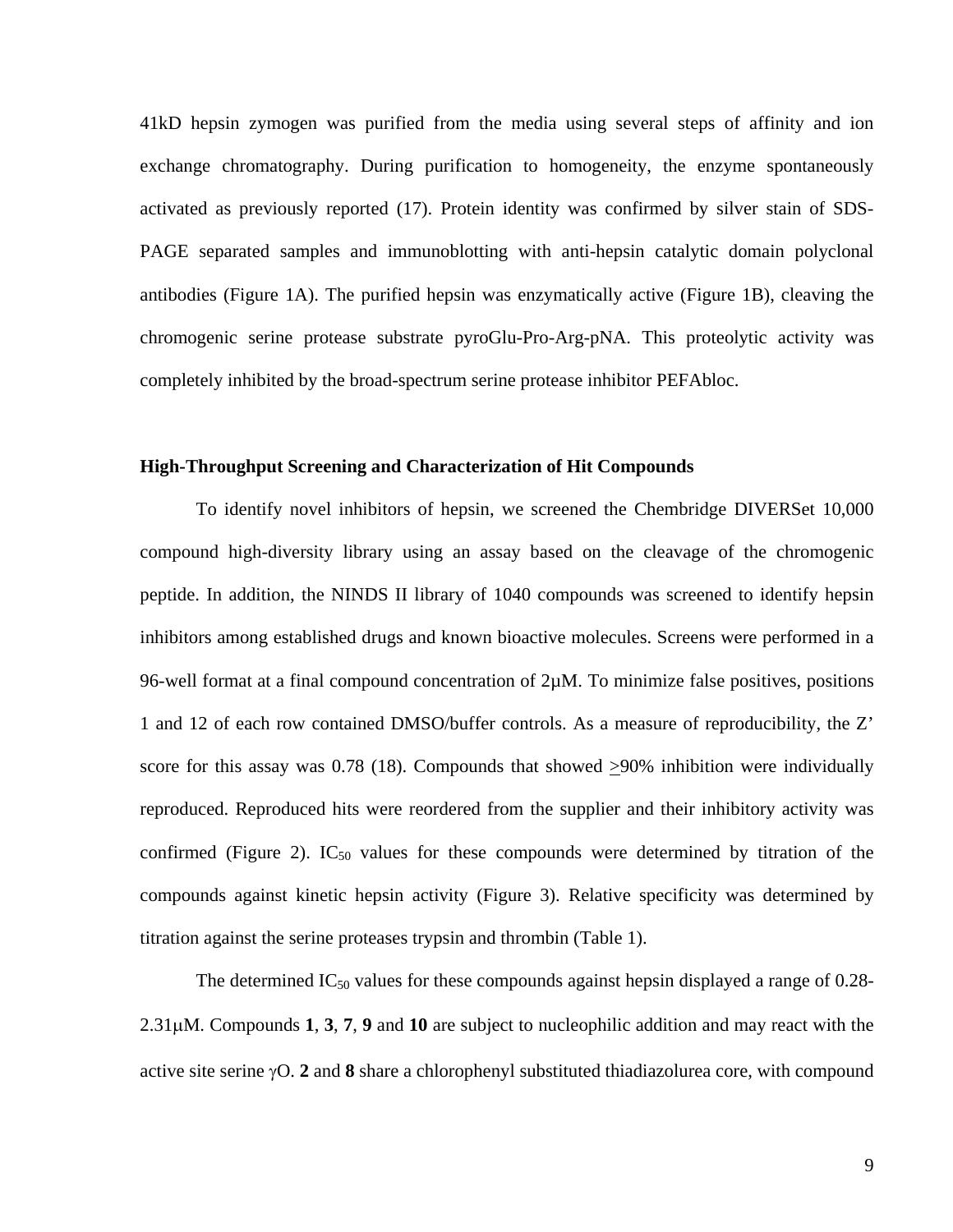41kD hepsin zymogen was purified from the media using several steps of affinity and ion exchange chromatography. During purification to homogeneity, the enzyme spontaneously activated as previously reported (17). Protein identity was confirmed by silver stain of SDS-PAGE separated samples and immunoblotting with anti-hepsin catalytic domain polyclonal antibodies (Figure 1A). The purified hepsin was enzymatically active (Figure 1B), cleaving the chromogenic serine protease substrate pyroGlu-Pro-Arg-pNA. This proteolytic activity was completely inhibited by the broad-spectrum serine protease inhibitor PEFAbloc.

#### **High-Throughput Screening and Characterization of Hit Compounds**

 To identify novel inhibitors of hepsin, we screened the Chembridge DIVERSet 10,000 compound high-diversity library using an assay based on the cleavage of the chromogenic peptide. In addition, the NINDS II library of 1040 compounds was screened to identify hepsin inhibitors among established drugs and known bioactive molecules. Screens were performed in a 96-well format at a final compound concentration of  $2\mu$ M. To minimize false positives, positions 1 and 12 of each row contained DMSO/buffer controls. As a measure of reproducibility, the Z' score for this assay was 0.78 (18). Compounds that showed >90% inhibition were individually reproduced. Reproduced hits were reordered from the supplier and their inhibitory activity was confirmed (Figure 2).  $IC_{50}$  values for these compounds were determined by titration of the compounds against kinetic hepsin activity (Figure 3). Relative specificity was determined by titration against the serine proteases trypsin and thrombin (Table 1).

The determined  $IC_{50}$  values for these compounds against hepsin displayed a range of 0.28-2.31μM. Compounds **1**, **3**, **7**, **9** and **10** are subject to nucleophilic addition and may react with the active site serine γO. **2** and **8** share a chlorophenyl substituted thiadiazolurea core, with compound

9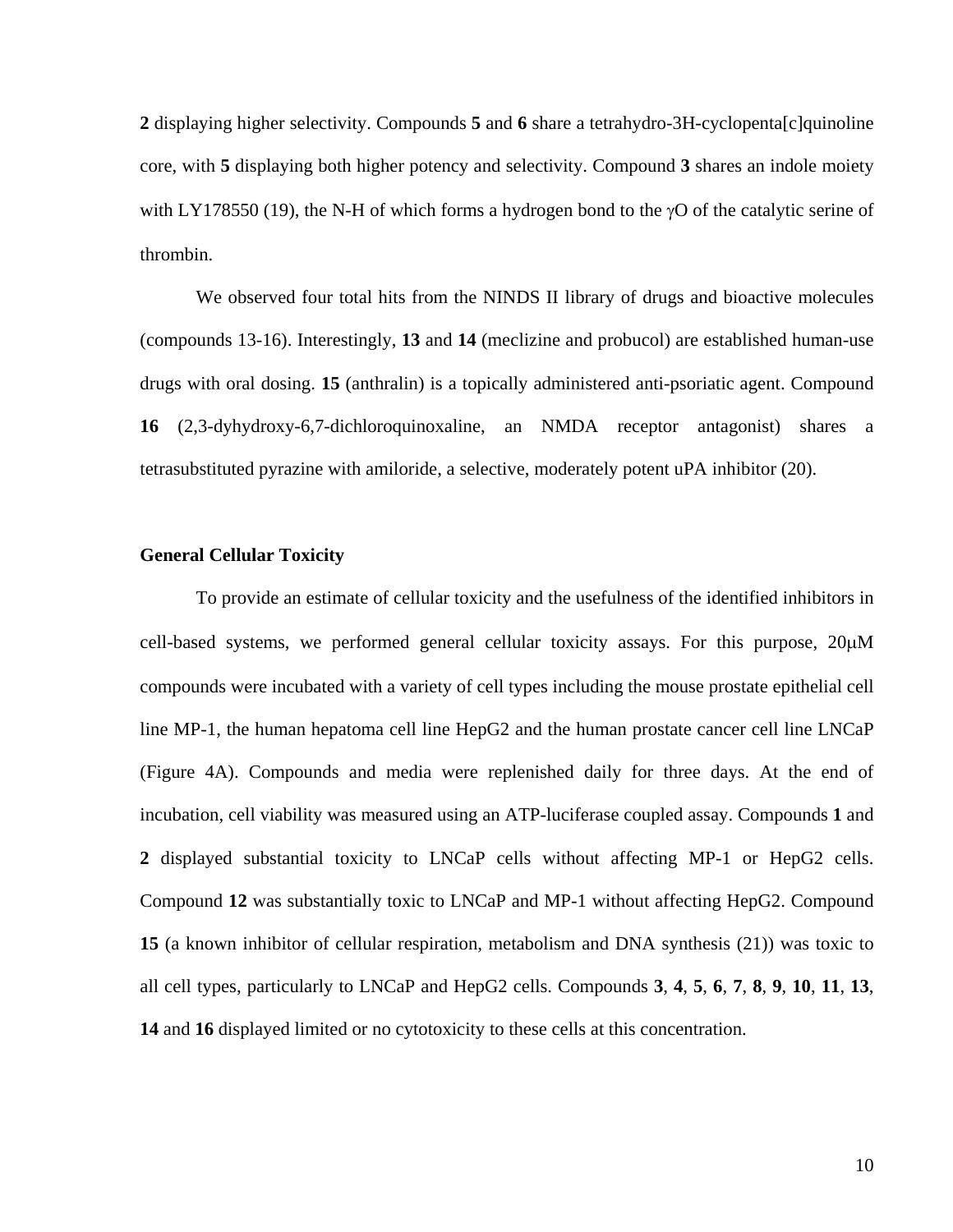**2** displaying higher selectivity. Compounds **5** and **6** share a tetrahydro-3H-cyclopenta[c]quinoline core, with **5** displaying both higher potency and selectivity. Compound **3** shares an indole moiety with LY178550 (19), the N-H of which forms a hydrogen bond to the  $\gamma$ O of the catalytic serine of thrombin.

We observed four total hits from the NINDS II library of drugs and bioactive molecules (compounds 13-16). Interestingly, **13** and **14** (meclizine and probucol) are established human-use drugs with oral dosing. **15** (anthralin) is a topically administered anti-psoriatic agent. Compound **16** (2,3-dyhydroxy-6,7-dichloroquinoxaline, an NMDA receptor antagonist) shares a tetrasubstituted pyrazine with amiloride, a selective, moderately potent uPA inhibitor (20).

# **General Cellular Toxicity**

 To provide an estimate of cellular toxicity and the usefulness of the identified inhibitors in cell-based systems, we performed general cellular toxicity assays. For this purpose, 20μM compounds were incubated with a variety of cell types including the mouse prostate epithelial cell line MP-1, the human hepatoma cell line HepG2 and the human prostate cancer cell line LNCaP (Figure 4A). Compounds and media were replenished daily for three days. At the end of incubation, cell viability was measured using an ATP-luciferase coupled assay. Compounds **1** and **2** displayed substantial toxicity to LNCaP cells without affecting MP-1 or HepG2 cells. Compound **12** was substantially toxic to LNCaP and MP-1 without affecting HepG2. Compound **15** (a known inhibitor of cellular respiration, metabolism and DNA synthesis (21)) was toxic to all cell types, particularly to LNCaP and HepG2 cells. Compounds **3**, **4**, **5**, **6**, **7**, **8**, **9**, **10**, **11**, **13**, **14** and **16** displayed limited or no cytotoxicity to these cells at this concentration.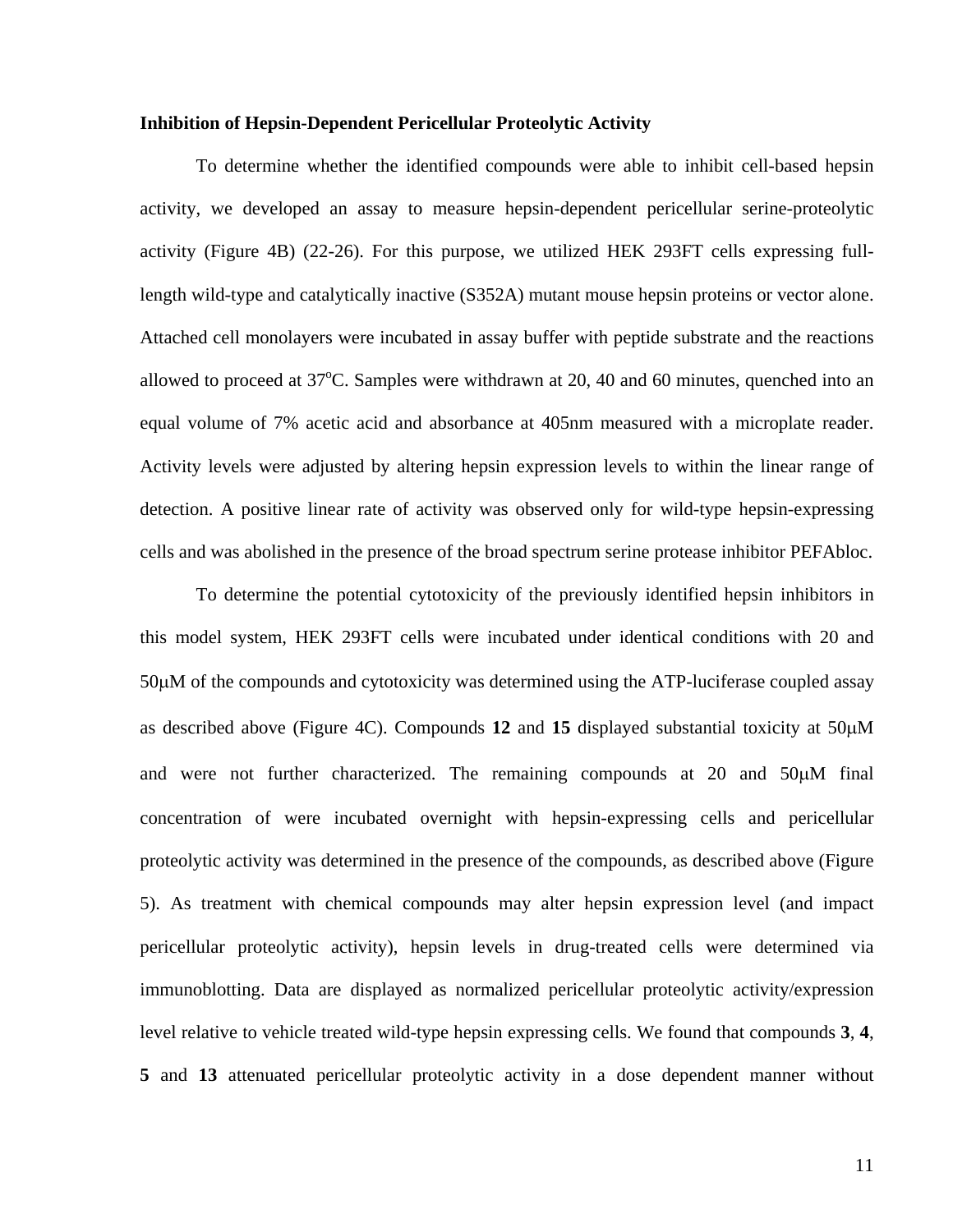# **Inhibition of Hepsin-Dependent Pericellular Proteolytic Activity**

 To determine whether the identified compounds were able to inhibit cell-based hepsin activity, we developed an assay to measure hepsin-dependent pericellular serine-proteolytic activity (Figure 4B) (22-26). For this purpose, we utilized HEK 293FT cells expressing fulllength wild-type and catalytically inactive (S352A) mutant mouse hepsin proteins or vector alone. Attached cell monolayers were incubated in assay buffer with peptide substrate and the reactions allowed to proceed at  $37^{\circ}$ C. Samples were withdrawn at 20, 40 and 60 minutes, quenched into an equal volume of 7% acetic acid and absorbance at 405nm measured with a microplate reader. Activity levels were adjusted by altering hepsin expression levels to within the linear range of detection. A positive linear rate of activity was observed only for wild-type hepsin-expressing cells and was abolished in the presence of the broad spectrum serine protease inhibitor PEFAbloc.

To determine the potential cytotoxicity of the previously identified hepsin inhibitors in this model system, HEK 293FT cells were incubated under identical conditions with 20 and 50μM of the compounds and cytotoxicity was determined using the ATP-luciferase coupled assay as described above (Figure 4C). Compounds **12** and **15** displayed substantial toxicity at 50μM and were not further characterized. The remaining compounds at 20 and 50μM final concentration of were incubated overnight with hepsin-expressing cells and pericellular proteolytic activity was determined in the presence of the compounds, as described above (Figure 5). As treatment with chemical compounds may alter hepsin expression level (and impact pericellular proteolytic activity), hepsin levels in drug-treated cells were determined via immunoblotting. Data are displayed as normalized pericellular proteolytic activity/expression level relative to vehicle treated wild-type hepsin expressing cells. We found that compounds **3**, **4**, **5** and **13** attenuated pericellular proteolytic activity in a dose dependent manner without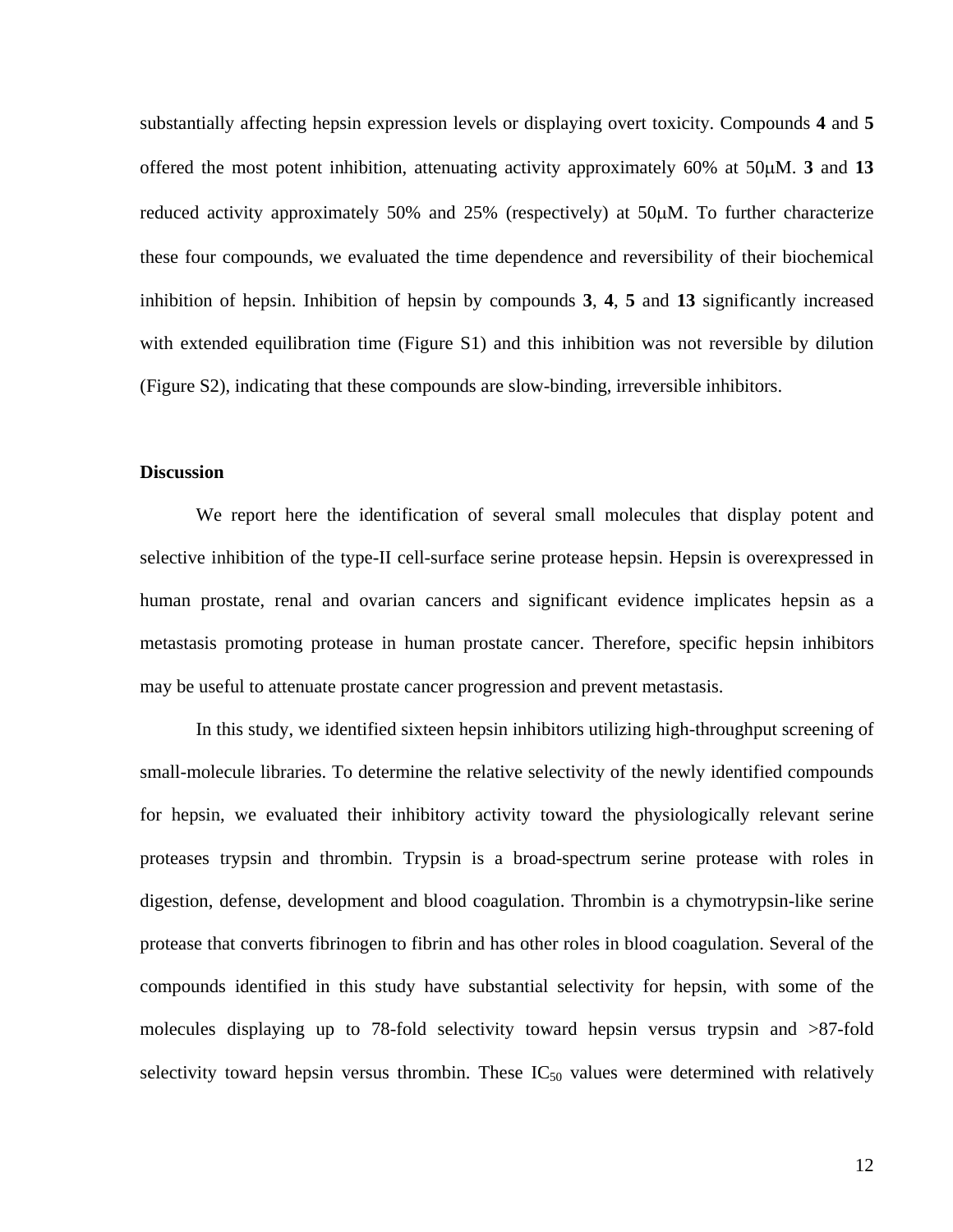substantially affecting hepsin expression levels or displaying overt toxicity. Compounds **4** and **5** offered the most potent inhibition, attenuating activity approximately 60% at 50μM. **3** and **13** reduced activity approximately 50% and 25% (respectively) at 50μM. To further characterize these four compounds, we evaluated the time dependence and reversibility of their biochemical inhibition of hepsin. Inhibition of hepsin by compounds **3**, **4**, **5** and **13** significantly increased with extended equilibration time (Figure S1) and this inhibition was not reversible by dilution (Figure S2), indicating that these compounds are slow-binding, irreversible inhibitors.

#### **Discussion**

We report here the identification of several small molecules that display potent and selective inhibition of the type-II cell-surface serine protease hepsin. Hepsin is overexpressed in human prostate, renal and ovarian cancers and significant evidence implicates hepsin as a metastasis promoting protease in human prostate cancer. Therefore, specific hepsin inhibitors may be useful to attenuate prostate cancer progression and prevent metastasis.

In this study, we identified sixteen hepsin inhibitors utilizing high-throughput screening of small-molecule libraries. To determine the relative selectivity of the newly identified compounds for hepsin, we evaluated their inhibitory activity toward the physiologically relevant serine proteases trypsin and thrombin. Trypsin is a broad-spectrum serine protease with roles in digestion, defense, development and blood coagulation. Thrombin is a chymotrypsin-like serine protease that converts fibrinogen to fibrin and has other roles in blood coagulation. Several of the compounds identified in this study have substantial selectivity for hepsin, with some of the molecules displaying up to 78-fold selectivity toward hepsin versus trypsin and >87-fold selectivity toward hepsin versus thrombin. These  $IC_{50}$  values were determined with relatively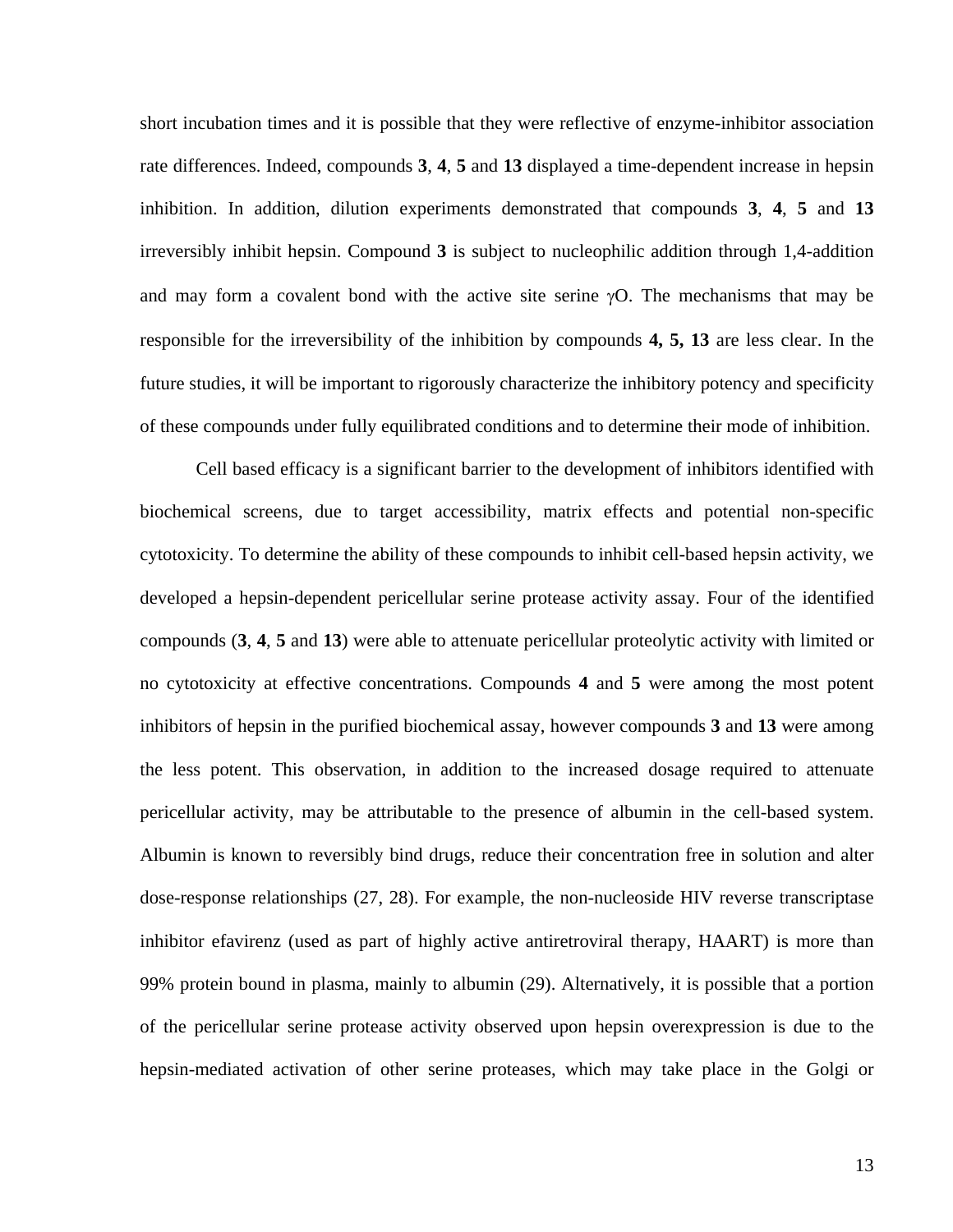short incubation times and it is possible that they were reflective of enzyme-inhibitor association rate differences. Indeed, compounds **3**, **4**, **5** and **13** displayed a time-dependent increase in hepsin inhibition. In addition, dilution experiments demonstrated that compounds **3**, **4**, **5** and **13** irreversibly inhibit hepsin. Compound **3** is subject to nucleophilic addition through 1,4-addition and may form a covalent bond with the active site serine  $\gamma$ O. The mechanisms that may be responsible for the irreversibility of the inhibition by compounds **4, 5, 13** are less clear. In the future studies, it will be important to rigorously characterize the inhibitory potency and specificity of these compounds under fully equilibrated conditions and to determine their mode of inhibition.

Cell based efficacy is a significant barrier to the development of inhibitors identified with biochemical screens, due to target accessibility, matrix effects and potential non-specific cytotoxicity. To determine the ability of these compounds to inhibit cell-based hepsin activity, we developed a hepsin-dependent pericellular serine protease activity assay. Four of the identified compounds (**3**, **4**, **5** and **13**) were able to attenuate pericellular proteolytic activity with limited or no cytotoxicity at effective concentrations. Compounds **4** and **5** were among the most potent inhibitors of hepsin in the purified biochemical assay, however compounds **3** and **13** were among the less potent. This observation, in addition to the increased dosage required to attenuate pericellular activity, may be attributable to the presence of albumin in the cell-based system. Albumin is known to reversibly bind drugs, reduce their concentration free in solution and alter dose-response relationships (27, 28). For example, the non-nucleoside HIV reverse transcriptase inhibitor efavirenz (used as part of highly active antiretroviral therapy, HAART) is more than 99% protein bound in plasma, mainly to albumin (29). Alternatively, it is possible that a portion of the pericellular serine protease activity observed upon hepsin overexpression is due to the hepsin-mediated activation of other serine proteases, which may take place in the Golgi or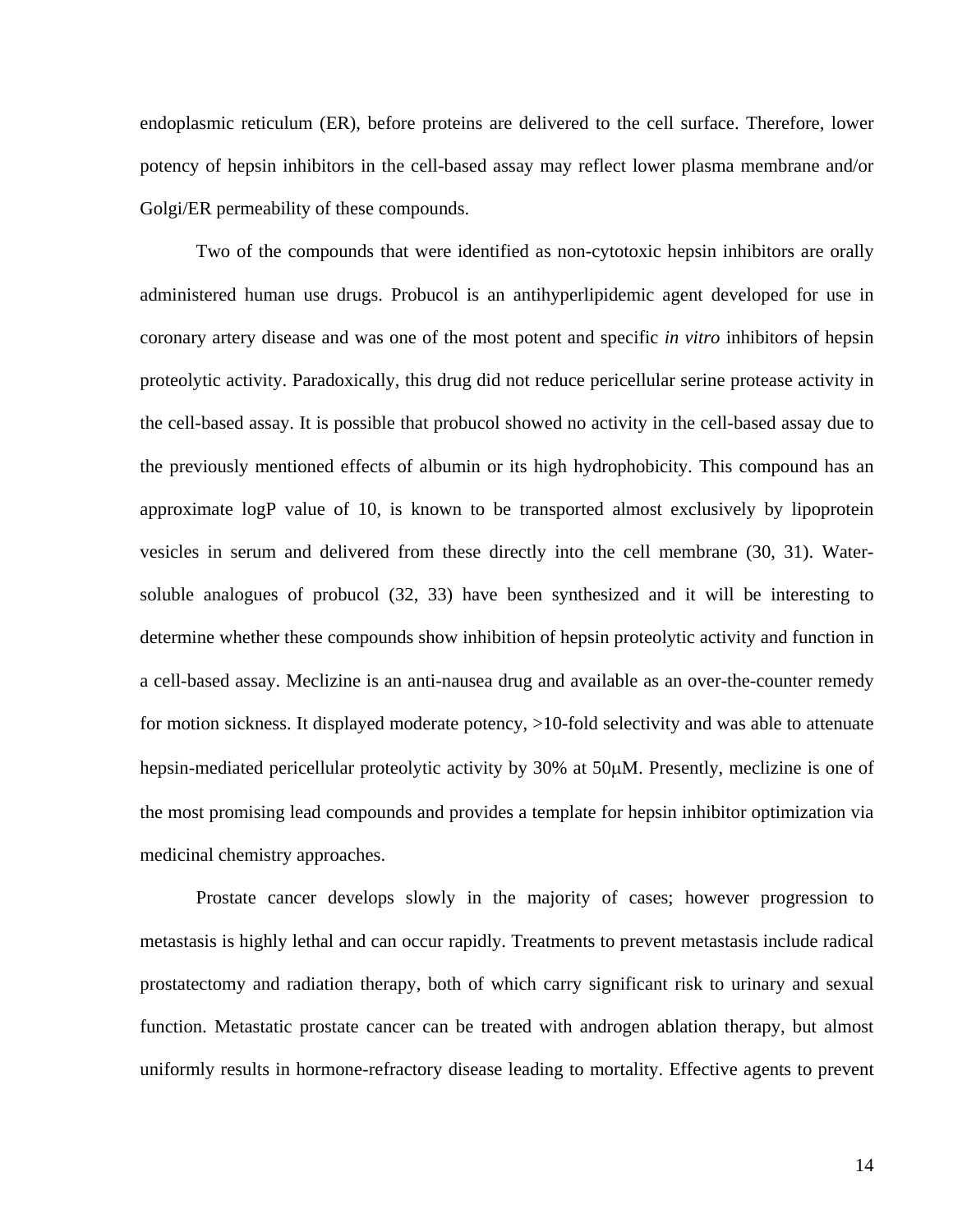endoplasmic reticulum (ER), before proteins are delivered to the cell surface. Therefore, lower potency of hepsin inhibitors in the cell-based assay may reflect lower plasma membrane and/or Golgi/ER permeability of these compounds.

Two of the compounds that were identified as non-cytotoxic hepsin inhibitors are orally administered human use drugs. Probucol is an antihyperlipidemic agent developed for use in coronary artery disease and was one of the most potent and specific *in vitro* inhibitors of hepsin proteolytic activity. Paradoxically, this drug did not reduce pericellular serine protease activity in the cell-based assay. It is possible that probucol showed no activity in the cell-based assay due to the previously mentioned effects of albumin or its high hydrophobicity. This compound has an approximate logP value of 10, is known to be transported almost exclusively by lipoprotein vesicles in serum and delivered from these directly into the cell membrane (30, 31). Watersoluble analogues of probucol (32, 33) have been synthesized and it will be interesting to determine whether these compounds show inhibition of hepsin proteolytic activity and function in a cell-based assay. Meclizine is an anti-nausea drug and available as an over-the-counter remedy for motion sickness. It displayed moderate potency, >10-fold selectivity and was able to attenuate hepsin-mediated pericellular proteolytic activity by 30% at 50μM. Presently, meclizine is one of the most promising lead compounds and provides a template for hepsin inhibitor optimization via medicinal chemistry approaches.

Prostate cancer develops slowly in the majority of cases; however progression to metastasis is highly lethal and can occur rapidly. Treatments to prevent metastasis include radical prostatectomy and radiation therapy, both of which carry significant risk to urinary and sexual function. Metastatic prostate cancer can be treated with androgen ablation therapy, but almost uniformly results in hormone-refractory disease leading to mortality. Effective agents to prevent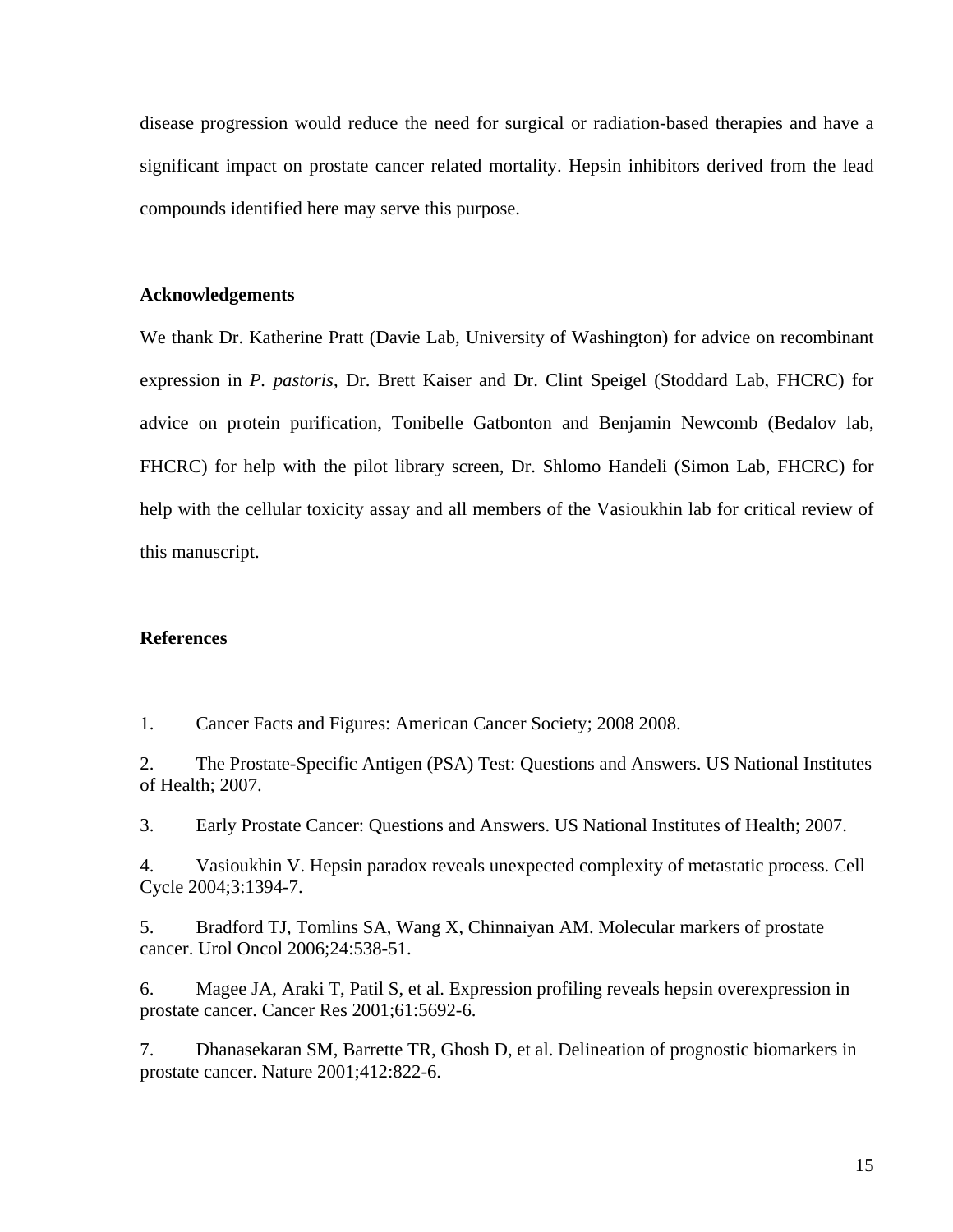disease progression would reduce the need for surgical or radiation-based therapies and have a significant impact on prostate cancer related mortality. Hepsin inhibitors derived from the lead compounds identified here may serve this purpose.

#### **Acknowledgements**

We thank Dr. Katherine Pratt (Davie Lab, University of Washington) for advice on recombinant expression in *P. pastoris*, Dr. Brett Kaiser and Dr. Clint Speigel (Stoddard Lab, FHCRC) for advice on protein purification, Tonibelle Gatbonton and Benjamin Newcomb (Bedalov lab, FHCRC) for help with the pilot library screen, Dr. Shlomo Handeli (Simon Lab, FHCRC) for help with the cellular toxicity assay and all members of the Vasioukhin lab for critical review of this manuscript.

# **References**

1. Cancer Facts and Figures: American Cancer Society; 2008 2008.

2. The Prostate-Specific Antigen (PSA) Test: Questions and Answers. US National Institutes of Health; 2007.

3. Early Prostate Cancer: Questions and Answers. US National Institutes of Health; 2007.

4. Vasioukhin V. Hepsin paradox reveals unexpected complexity of metastatic process. Cell Cycle 2004;3:1394-7.

5. Bradford TJ, Tomlins SA, Wang X, Chinnaiyan AM. Molecular markers of prostate cancer. Urol Oncol 2006;24:538-51.

6. Magee JA, Araki T, Patil S, et al. Expression profiling reveals hepsin overexpression in prostate cancer. Cancer Res 2001;61:5692-6.

7. Dhanasekaran SM, Barrette TR, Ghosh D, et al. Delineation of prognostic biomarkers in prostate cancer. Nature 2001;412:822-6.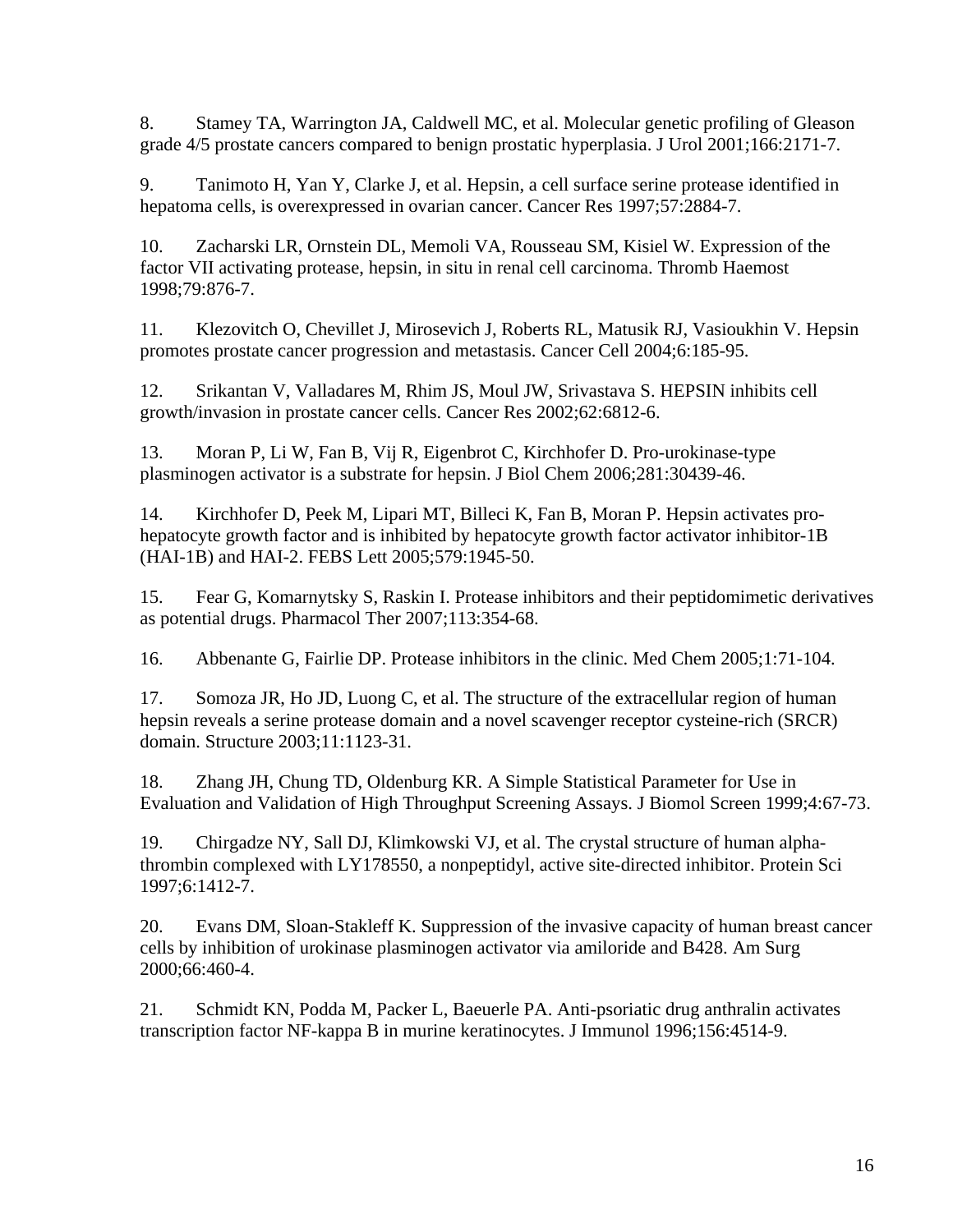8. Stamey TA, Warrington JA, Caldwell MC, et al. Molecular genetic profiling of Gleason grade 4/5 prostate cancers compared to benign prostatic hyperplasia. J Urol 2001;166:2171-7.

9. Tanimoto H, Yan Y, Clarke J, et al. Hepsin, a cell surface serine protease identified in hepatoma cells, is overexpressed in ovarian cancer. Cancer Res 1997;57:2884-7.

10. Zacharski LR, Ornstein DL, Memoli VA, Rousseau SM, Kisiel W. Expression of the factor VII activating protease, hepsin, in situ in renal cell carcinoma. Thromb Haemost 1998;79:876-7.

11. Klezovitch O, Chevillet J, Mirosevich J, Roberts RL, Matusik RJ, Vasioukhin V. Hepsin promotes prostate cancer progression and metastasis. Cancer Cell 2004;6:185-95.

12. Srikantan V, Valladares M, Rhim JS, Moul JW, Srivastava S. HEPSIN inhibits cell growth/invasion in prostate cancer cells. Cancer Res 2002;62:6812-6.

13. Moran P, Li W, Fan B, Vij R, Eigenbrot C, Kirchhofer D. Pro-urokinase-type plasminogen activator is a substrate for hepsin. J Biol Chem 2006;281:30439-46.

14. Kirchhofer D, Peek M, Lipari MT, Billeci K, Fan B, Moran P. Hepsin activates prohepatocyte growth factor and is inhibited by hepatocyte growth factor activator inhibitor-1B (HAI-1B) and HAI-2. FEBS Lett 2005;579:1945-50.

15. Fear G, Komarnytsky S, Raskin I. Protease inhibitors and their peptidomimetic derivatives as potential drugs. Pharmacol Ther 2007;113:354-68.

16. Abbenante G, Fairlie DP. Protease inhibitors in the clinic. Med Chem 2005;1:71-104.

17. Somoza JR, Ho JD, Luong C, et al. The structure of the extracellular region of human hepsin reveals a serine protease domain and a novel scavenger receptor cysteine-rich (SRCR) domain. Structure 2003;11:1123-31.

18. Zhang JH, Chung TD, Oldenburg KR. A Simple Statistical Parameter for Use in Evaluation and Validation of High Throughput Screening Assays. J Biomol Screen 1999;4:67-73.

19. Chirgadze NY, Sall DJ, Klimkowski VJ, et al. The crystal structure of human alphathrombin complexed with LY178550, a nonpeptidyl, active site-directed inhibitor. Protein Sci 1997;6:1412-7.

20. Evans DM, Sloan-Stakleff K. Suppression of the invasive capacity of human breast cancer cells by inhibition of urokinase plasminogen activator via amiloride and B428. Am Surg 2000;66:460-4.

21. Schmidt KN, Podda M, Packer L, Baeuerle PA. Anti-psoriatic drug anthralin activates transcription factor NF-kappa B in murine keratinocytes. J Immunol 1996;156:4514-9.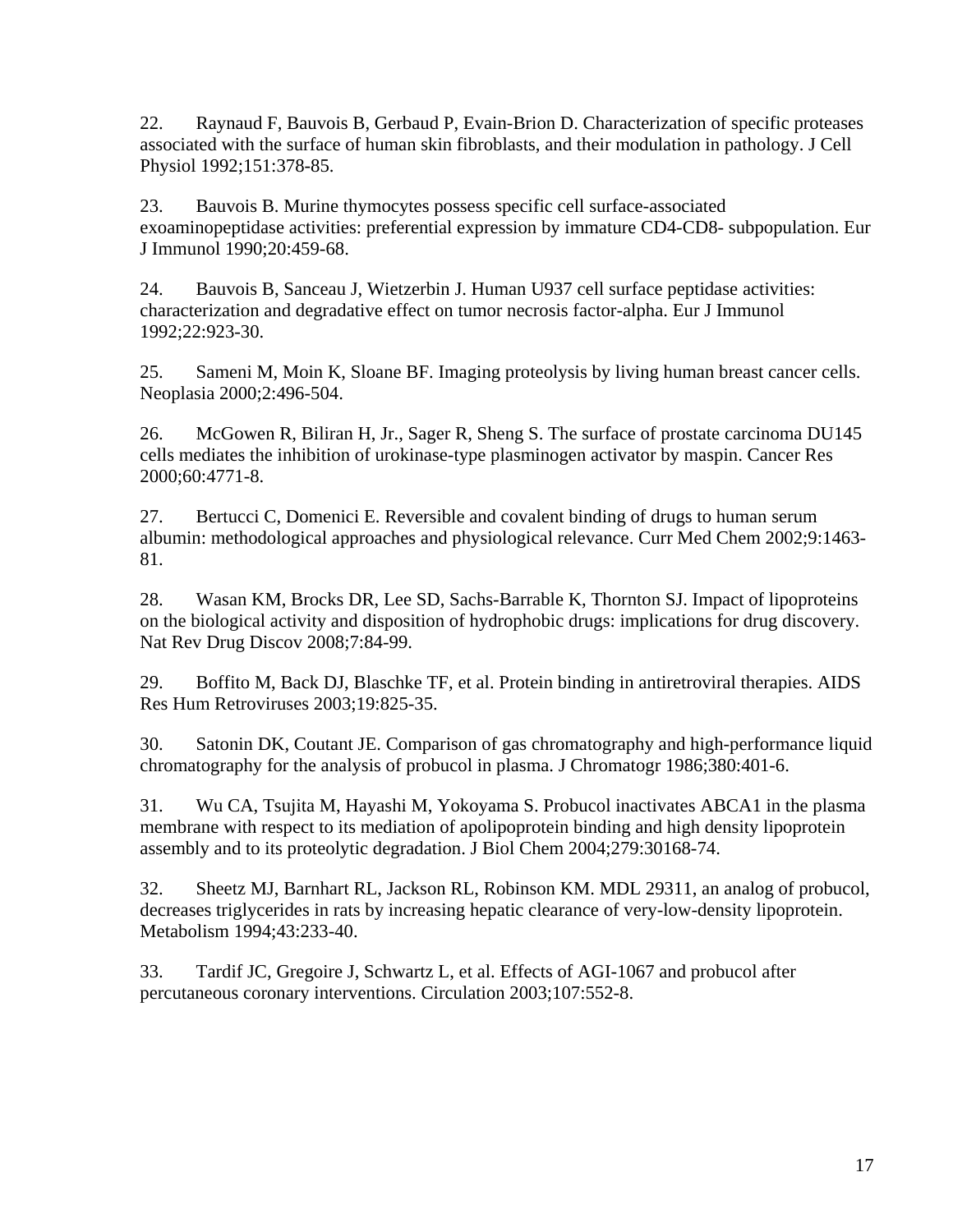22. Raynaud F, Bauvois B, Gerbaud P, Evain-Brion D. Characterization of specific proteases associated with the surface of human skin fibroblasts, and their modulation in pathology. J Cell Physiol 1992;151:378-85.

23. Bauvois B. Murine thymocytes possess specific cell surface-associated exoaminopeptidase activities: preferential expression by immature CD4-CD8- subpopulation. Eur J Immunol 1990;20:459-68.

24. Bauvois B, Sanceau J, Wietzerbin J. Human U937 cell surface peptidase activities: characterization and degradative effect on tumor necrosis factor-alpha. Eur J Immunol 1992;22:923-30.

25. Sameni M, Moin K, Sloane BF. Imaging proteolysis by living human breast cancer cells. Neoplasia 2000;2:496-504.

26. McGowen R, Biliran H, Jr., Sager R, Sheng S. The surface of prostate carcinoma DU145 cells mediates the inhibition of urokinase-type plasminogen activator by maspin. Cancer Res 2000;60:4771-8.

27. Bertucci C, Domenici E. Reversible and covalent binding of drugs to human serum albumin: methodological approaches and physiological relevance. Curr Med Chem 2002;9:1463- 81.

28. Wasan KM, Brocks DR, Lee SD, Sachs-Barrable K, Thornton SJ. Impact of lipoproteins on the biological activity and disposition of hydrophobic drugs: implications for drug discovery. Nat Rev Drug Discov 2008;7:84-99.

29. Boffito M, Back DJ, Blaschke TF, et al. Protein binding in antiretroviral therapies. AIDS Res Hum Retroviruses 2003;19:825-35.

30. Satonin DK, Coutant JE. Comparison of gas chromatography and high-performance liquid chromatography for the analysis of probucol in plasma. J Chromatogr 1986;380:401-6.

31. Wu CA, Tsujita M, Hayashi M, Yokoyama S. Probucol inactivates ABCA1 in the plasma membrane with respect to its mediation of apolipoprotein binding and high density lipoprotein assembly and to its proteolytic degradation. J Biol Chem 2004;279:30168-74.

32. Sheetz MJ, Barnhart RL, Jackson RL, Robinson KM. MDL 29311, an analog of probucol, decreases triglycerides in rats by increasing hepatic clearance of very-low-density lipoprotein. Metabolism 1994;43:233-40.

33. Tardif JC, Gregoire J, Schwartz L, et al. Effects of AGI-1067 and probucol after percutaneous coronary interventions. Circulation 2003;107:552-8.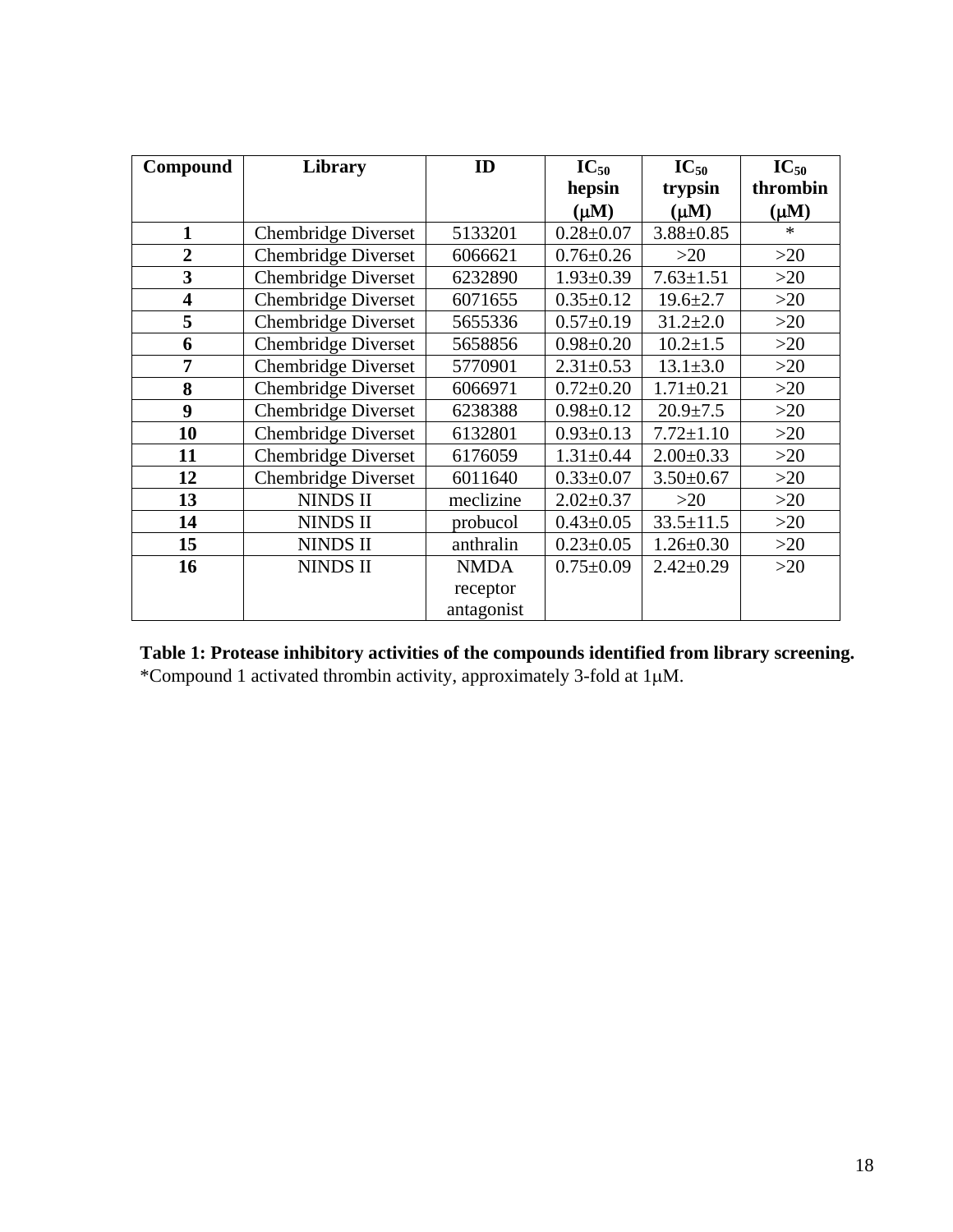| Compound                | <b>Library</b>             | ID          | $IC_{50}$       | $IC_{50}$       | $IC_{50}$ |
|-------------------------|----------------------------|-------------|-----------------|-----------------|-----------|
|                         |                            |             | hepsin          | trypsin         | thrombin  |
|                         |                            |             | $(\mu M)$       | $(\mu M)$       | $(\mu M)$ |
| $\mathbf{1}$            | <b>Chembridge Diverset</b> | 5133201     | $0.28 \pm 0.07$ | $3.88 \pm 0.85$ | $\ast$    |
| $\overline{2}$          | <b>Chembridge Diverset</b> | 6066621     | $0.76 \pm 0.26$ | $>20$           | $>20$     |
| $\overline{\mathbf{3}}$ | <b>Chembridge Diverset</b> | 6232890     | $1.93 \pm 0.39$ | $7.63 \pm 1.51$ | $>20$     |
| $\overline{\mathbf{4}}$ | <b>Chembridge Diverset</b> | 6071655     | $0.35 \pm 0.12$ | $19.6 \pm 2.7$  | $>20$     |
| 5                       | <b>Chembridge Diverset</b> | 5655336     | $0.57 \pm 0.19$ | $31.2 \pm 2.0$  | >20       |
| 6                       | Chembridge Diverset        | 5658856     | $0.98 \pm 0.20$ | $10.2 \pm 1.5$  | $>20$     |
| 7                       | <b>Chembridge Diverset</b> | 5770901     | $2.31 \pm 0.53$ | $13.1 \pm 3.0$  | $>20$     |
| 8                       | <b>Chembridge Diverset</b> | 6066971     | $0.72 \pm 0.20$ | $1.71 \pm 0.21$ | $>20$     |
| 9                       | <b>Chembridge Diverset</b> | 6238388     | $0.98 \pm 0.12$ | $20.9 \pm 7.5$  | >20       |
| 10                      | <b>Chembridge Diverset</b> | 6132801     | $0.93 \pm 0.13$ | $7.72 \pm 1.10$ | $>20$     |
| 11                      | <b>Chembridge Diverset</b> | 6176059     | $1.31 \pm 0.44$ | $2.00 \pm 0.33$ | $>20$     |
| 12                      | <b>Chembridge Diverset</b> | 6011640     | $0.33 \pm 0.07$ | $3.50 \pm 0.67$ | $>20$     |
| 13                      | <b>NINDS II</b>            | meclizine   | $2.02 \pm 0.37$ | $>20$           | $>20$     |
| 14                      | <b>NINDS II</b>            | probucol    | $0.43 \pm 0.05$ | $33.5 \pm 11.5$ | >20       |
| 15                      | <b>NINDS II</b>            | anthralin   | $0.23 \pm 0.05$ | $1.26 \pm 0.30$ | $>20$     |
| 16                      | <b>NINDS II</b>            | <b>NMDA</b> | $0.75 \pm 0.09$ | $2.42 \pm 0.29$ | $>20$     |
|                         |                            | receptor    |                 |                 |           |
|                         |                            | antagonist  |                 |                 |           |

| Table 1: Protease inhibitory activities of the compounds identified from library screening. |
|---------------------------------------------------------------------------------------------|
| *Compound 1 activated thrombin activity, approximately 3-fold at $1\mu$ M.                  |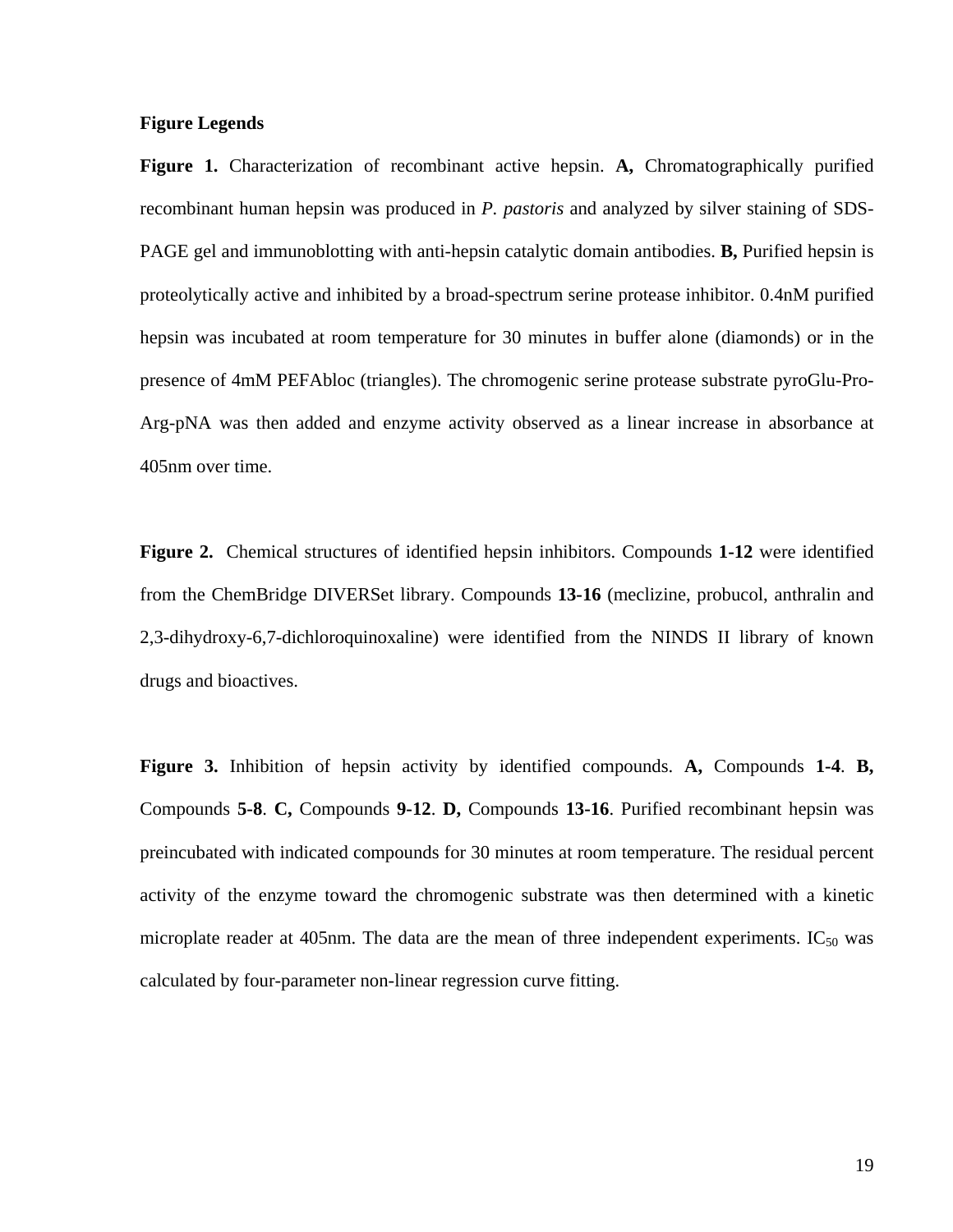# **Figure Legends**

**Figure 1.** Characterization of recombinant active hepsin. **A,** Chromatographically purified recombinant human hepsin was produced in *P. pastoris* and analyzed by silver staining of SDS-PAGE gel and immunoblotting with anti-hepsin catalytic domain antibodies. **B,** Purified hepsin is proteolytically active and inhibited by a broad-spectrum serine protease inhibitor. 0.4nM purified hepsin was incubated at room temperature for 30 minutes in buffer alone (diamonds) or in the presence of 4mM PEFAbloc (triangles). The chromogenic serine protease substrate pyroGlu-Pro-Arg-pNA was then added and enzyme activity observed as a linear increase in absorbance at 405nm over time.

**Figure 2.** Chemical structures of identified hepsin inhibitors. Compounds **1-12** were identified from the ChemBridge DIVERSet library. Compounds **13-16** (meclizine, probucol, anthralin and 2,3-dihydroxy-6,7-dichloroquinoxaline) were identified from the NINDS II library of known drugs and bioactives.

**Figure 3.** Inhibition of hepsin activity by identified compounds. **A,** Compounds **1-4**. **B,** Compounds **5-8**. **C,** Compounds **9-12**. **D,** Compounds **13-16**. Purified recombinant hepsin was preincubated with indicated compounds for 30 minutes at room temperature. The residual percent activity of the enzyme toward the chromogenic substrate was then determined with a kinetic microplate reader at 405nm. The data are the mean of three independent experiments.  $IC_{50}$  was calculated by four-parameter non-linear regression curve fitting.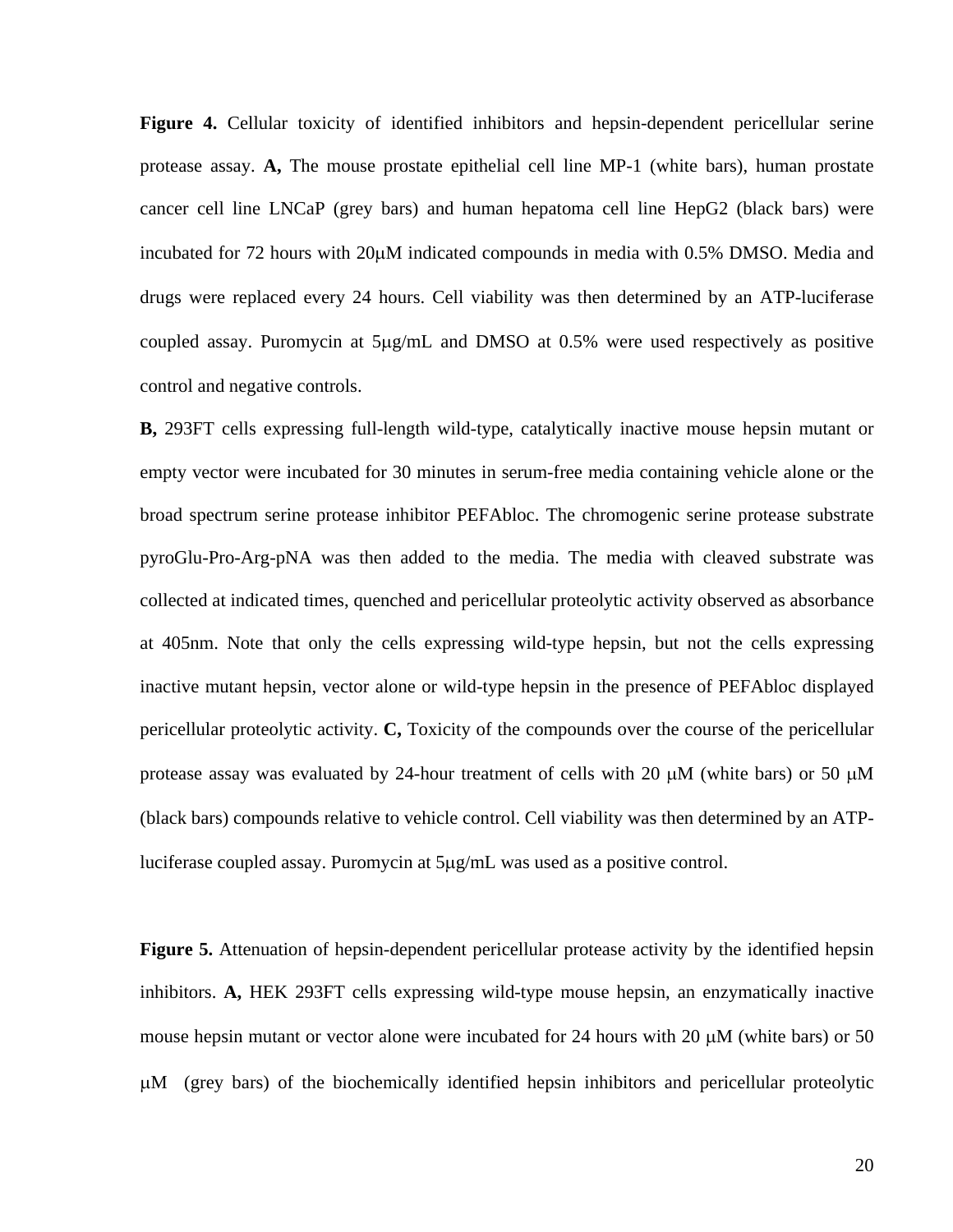**Figure 4.** Cellular toxicity of identified inhibitors and hepsin-dependent pericellular serine protease assay. **A,** The mouse prostate epithelial cell line MP-1 (white bars), human prostate cancer cell line LNCaP (grey bars) and human hepatoma cell line HepG2 (black bars) were incubated for 72 hours with 20μM indicated compounds in media with 0.5% DMSO. Media and drugs were replaced every 24 hours. Cell viability was then determined by an ATP-luciferase coupled assay. Puromycin at 5μg/mL and DMSO at 0.5% were used respectively as positive control and negative controls.

**B,** 293FT cells expressing full-length wild-type, catalytically inactive mouse hepsin mutant or empty vector were incubated for 30 minutes in serum-free media containing vehicle alone or the broad spectrum serine protease inhibitor PEFAbloc. The chromogenic serine protease substrate pyroGlu-Pro-Arg-pNA was then added to the media. The media with cleaved substrate was collected at indicated times, quenched and pericellular proteolytic activity observed as absorbance at 405nm. Note that only the cells expressing wild-type hepsin, but not the cells expressing inactive mutant hepsin, vector alone or wild-type hepsin in the presence of PEFAbloc displayed pericellular proteolytic activity. **C,** Toxicity of the compounds over the course of the pericellular protease assay was evaluated by 24-hour treatment of cells with 20 μM (white bars) or 50 μM (black bars) compounds relative to vehicle control. Cell viability was then determined by an ATPluciferase coupled assay. Puromycin at 5μg/mL was used as a positive control.

**Figure 5.** Attenuation of hepsin-dependent pericellular protease activity by the identified hepsin inhibitors. **A,** HEK 293FT cells expressing wild-type mouse hepsin, an enzymatically inactive mouse hepsin mutant or vector alone were incubated for 24 hours with 20  $\mu$ M (white bars) or 50 μM (grey bars) of the biochemically identified hepsin inhibitors and pericellular proteolytic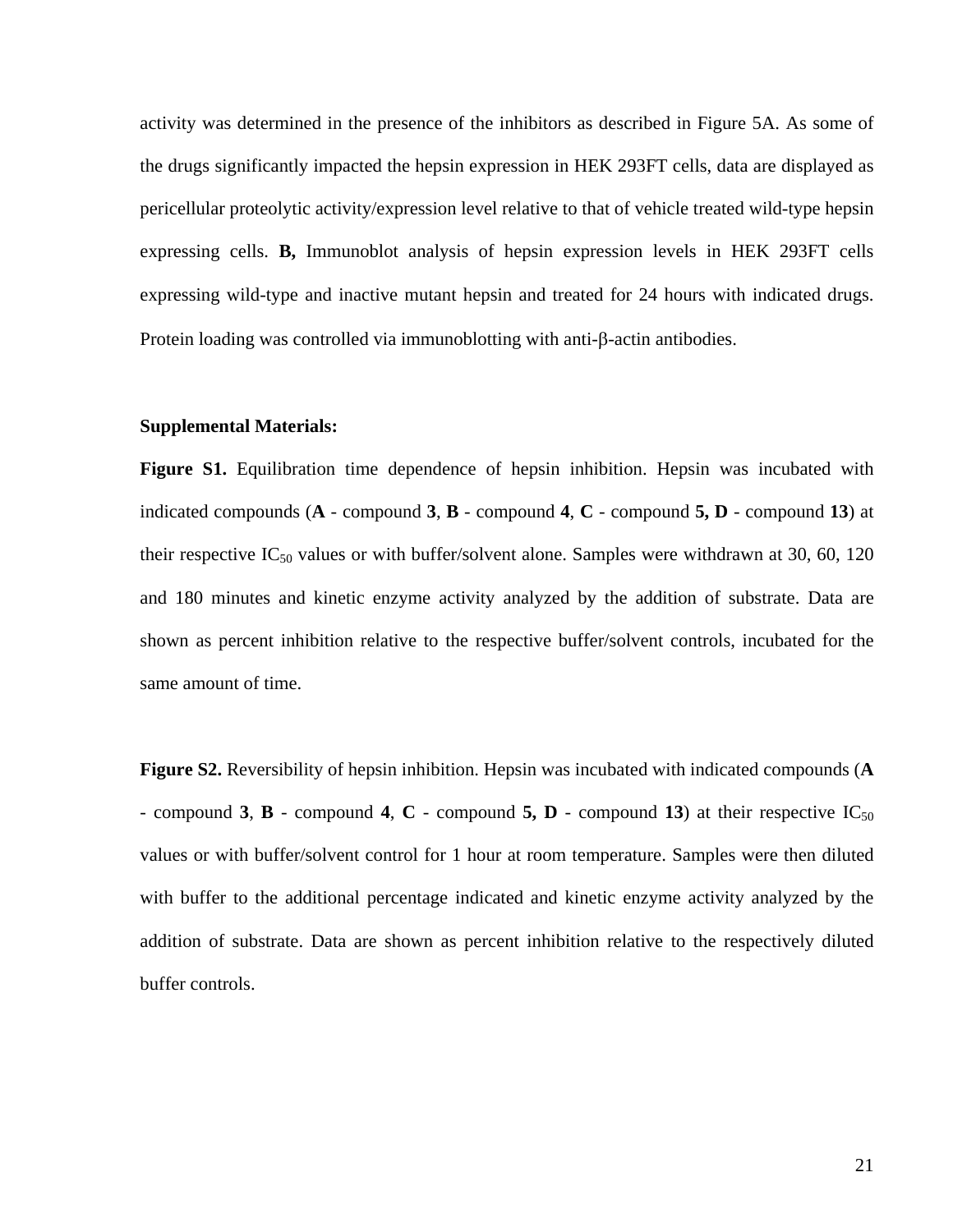activity was determined in the presence of the inhibitors as described in Figure 5A. As some of the drugs significantly impacted the hepsin expression in HEK 293FT cells, data are displayed as pericellular proteolytic activity/expression level relative to that of vehicle treated wild-type hepsin expressing cells. **B,** Immunoblot analysis of hepsin expression levels in HEK 293FT cells expressing wild-type and inactive mutant hepsin and treated for 24 hours with indicated drugs. Protein loading was controlled via immunoblotting with anti-β-actin antibodies.

### **Supplemental Materials:**

**Figure S1.** Equilibration time dependence of hepsin inhibition. Hepsin was incubated with indicated compounds (**A** - compound **3**, **B** - compound **4**, **C** - compound **5, D** - compound **13**) at their respective  $IC_{50}$  values or with buffer/solvent alone. Samples were withdrawn at 30, 60, 120 and 180 minutes and kinetic enzyme activity analyzed by the addition of substrate. Data are shown as percent inhibition relative to the respective buffer/solvent controls, incubated for the same amount of time.

**Figure S2.** Reversibility of hepsin inhibition. Hepsin was incubated with indicated compounds (**A**  - compound **3**, **B** - compound **4**, **C** - compound **5, D** - compound **13**) at their respective  $IC_{50}$ values or with buffer/solvent control for 1 hour at room temperature. Samples were then diluted with buffer to the additional percentage indicated and kinetic enzyme activity analyzed by the addition of substrate. Data are shown as percent inhibition relative to the respectively diluted buffer controls.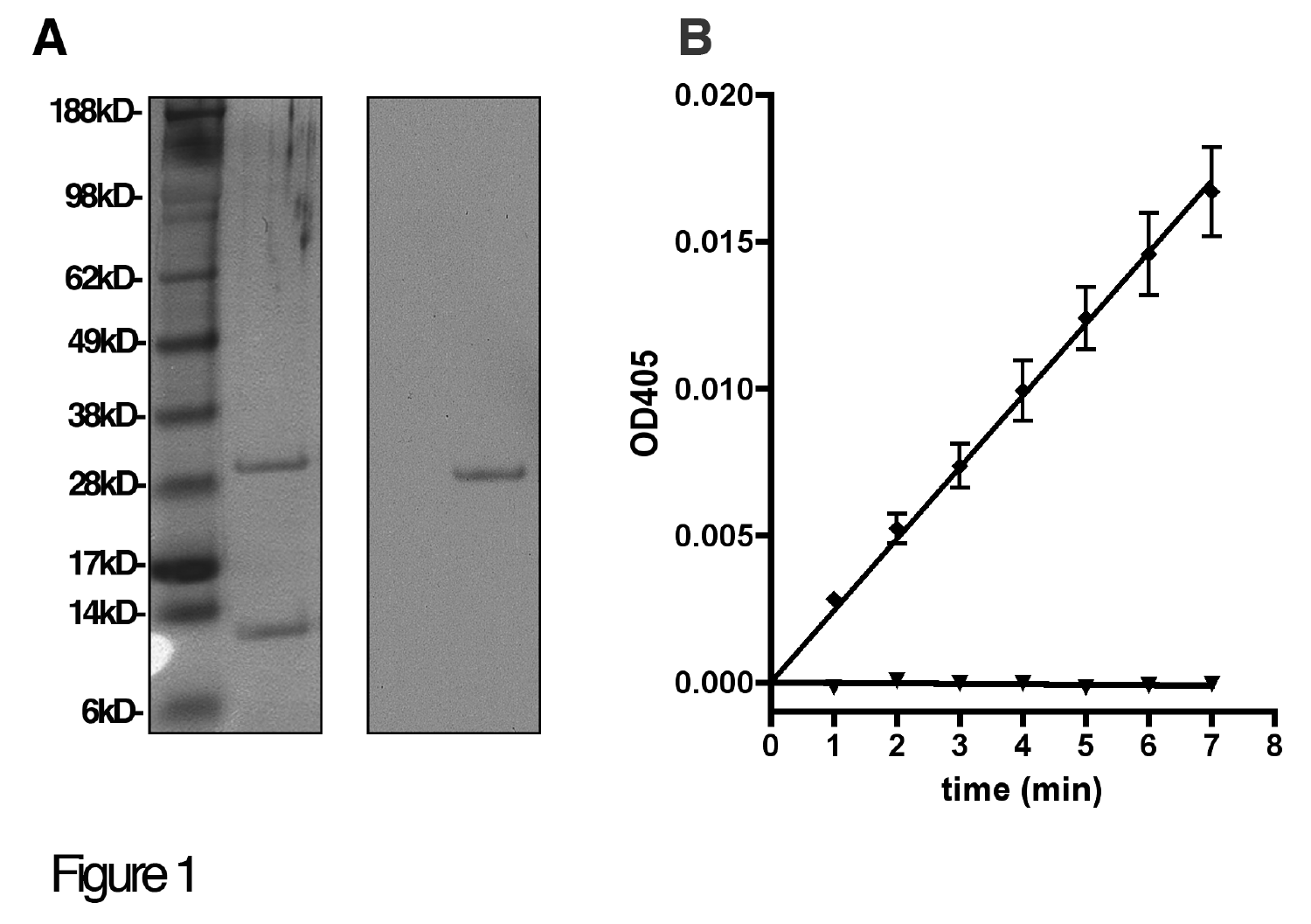

B

Figure 1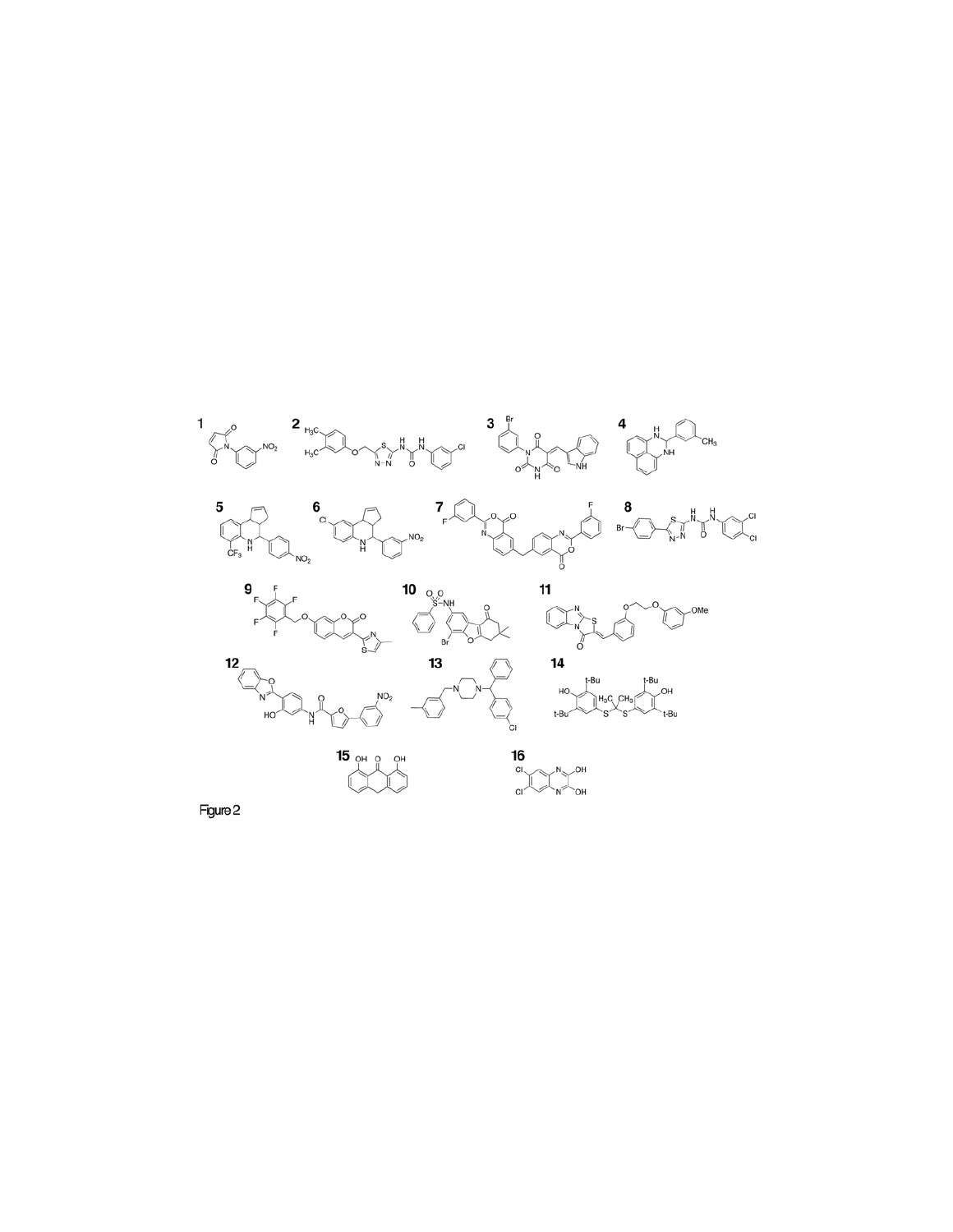

Figure 2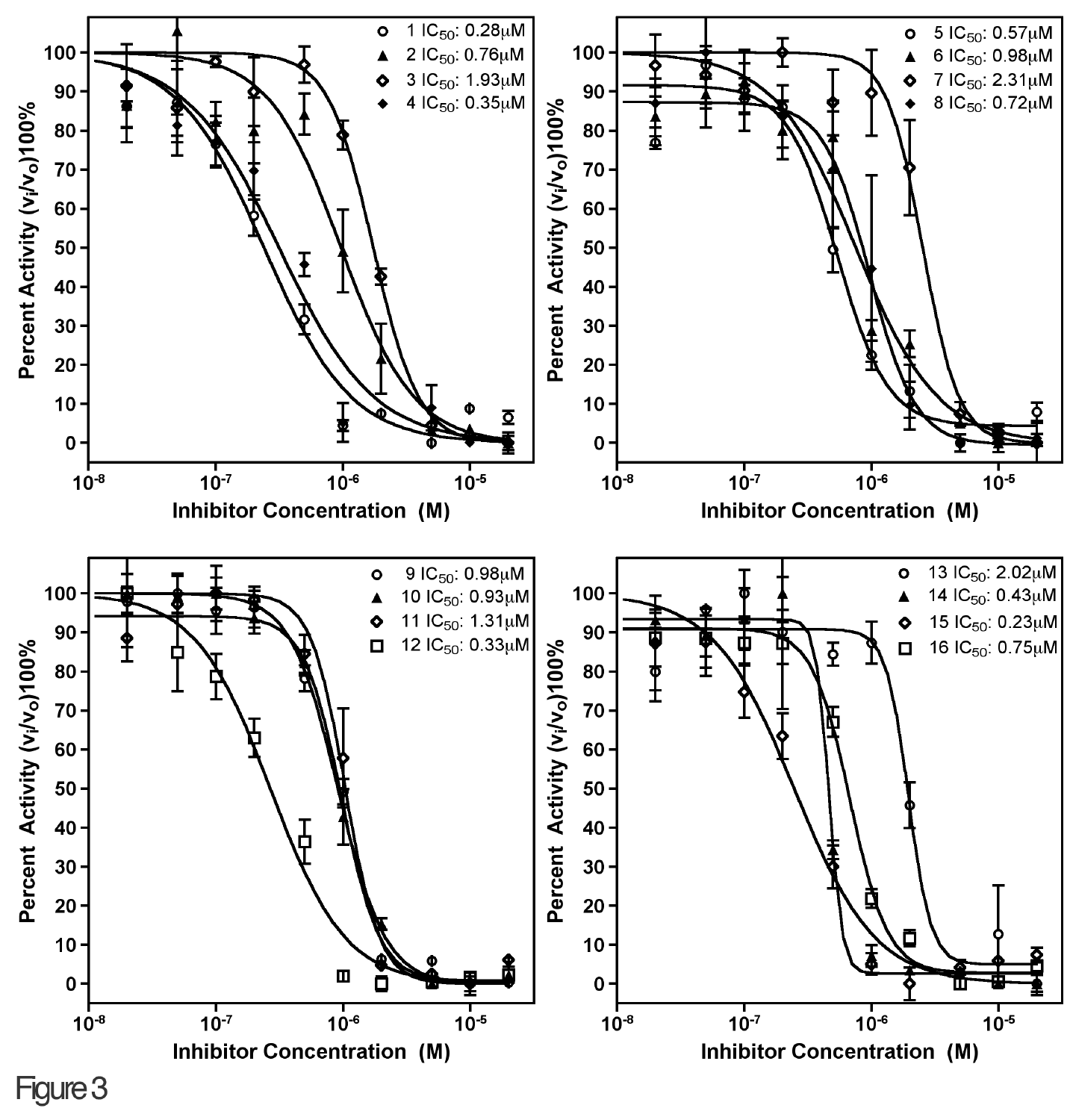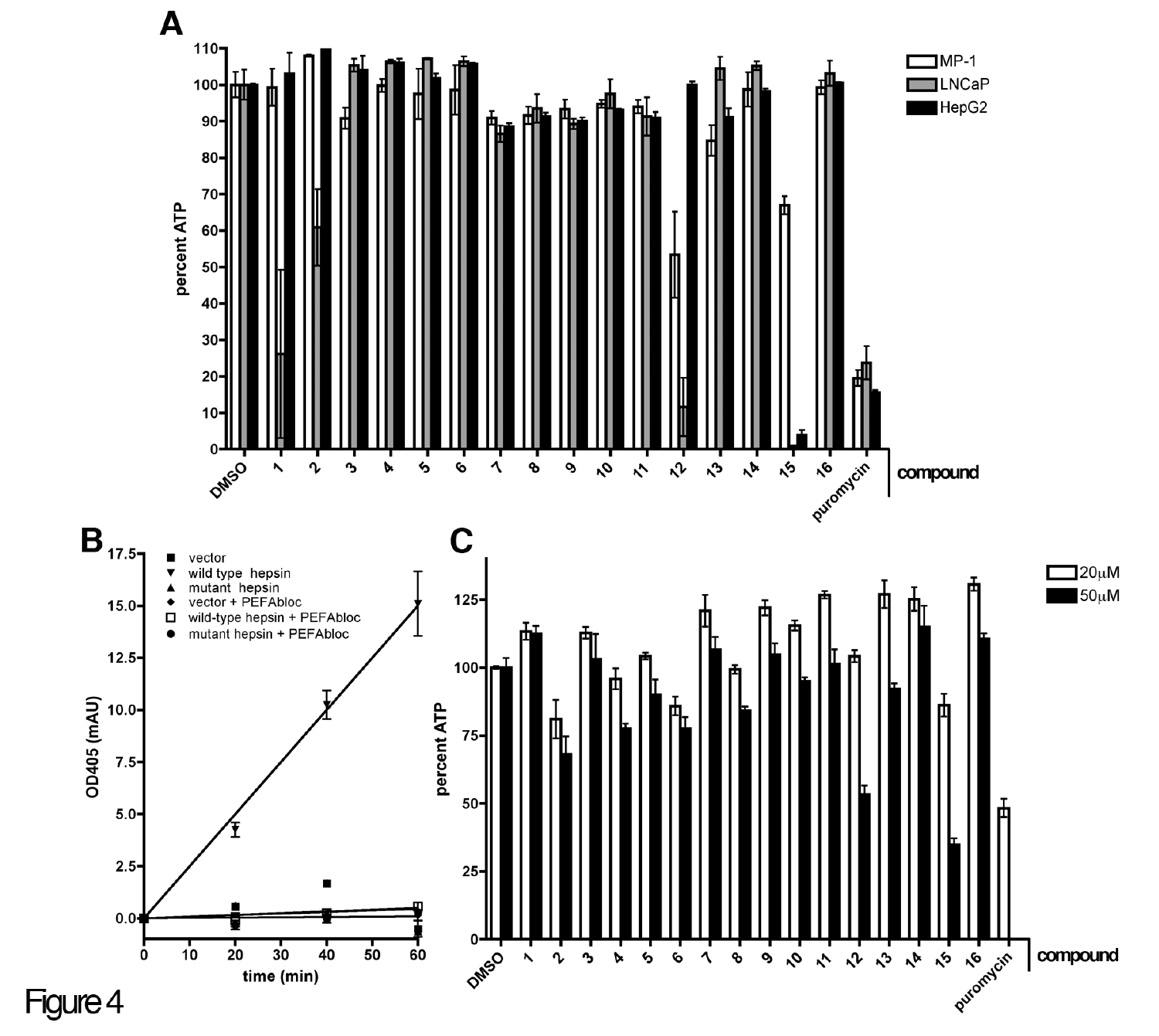